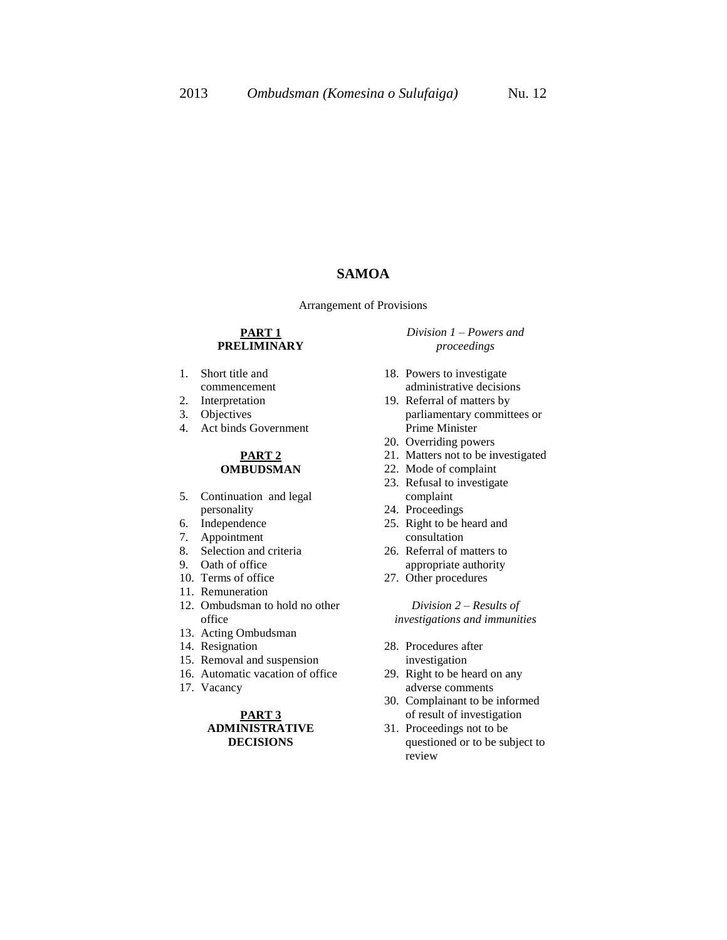# **SAMOA**

Arrangement of Provisions

#### **PART 1 PRELIMINARY**

- 1. Short title and commencement
- 
- 2. Interpretation
- 3. Objectives
- 4. Act binds Government

#### **PART 2 OMBUDSMAN**

- 5. Continuation and legal personality
- 6. Independence
- 7. Appointment
- 8. Selection and criteria
- 9. Oath of office
- 10. Terms of office
- 11. Remuneration
- 12. Ombudsman to hold no other office
- 13. Acting Ombudsman
- 14. Resignation
- 15. Removal and suspension
- 16. Automatic vacation of office
- 17. Vacancy

#### **PART 3 ADMINISTRATIVE DECISIONS**

*Division 1 – Powers and proceedings*

- 18. Powers to investigate administrative decisions
- 19. Referral of matters by parliamentary committees or Prime Minister
- 20. Overriding powers
- 21. Matters not to be investigated
- 22. Mode of complaint
- 23. Refusal to investigate complaint
- 24. Proceedings
- 25. Right to be heard and consultation
- 26. Referral of matters to appropriate authority
- 27. Other procedures

*Division 2 – Results of investigations and immunities*

- 28. Procedures after investigation
- 29. Right to be heard on any adverse comments
- 30. Complainant to be informed of result of investigation
- 31. Proceedings not to be questioned or to be subject to review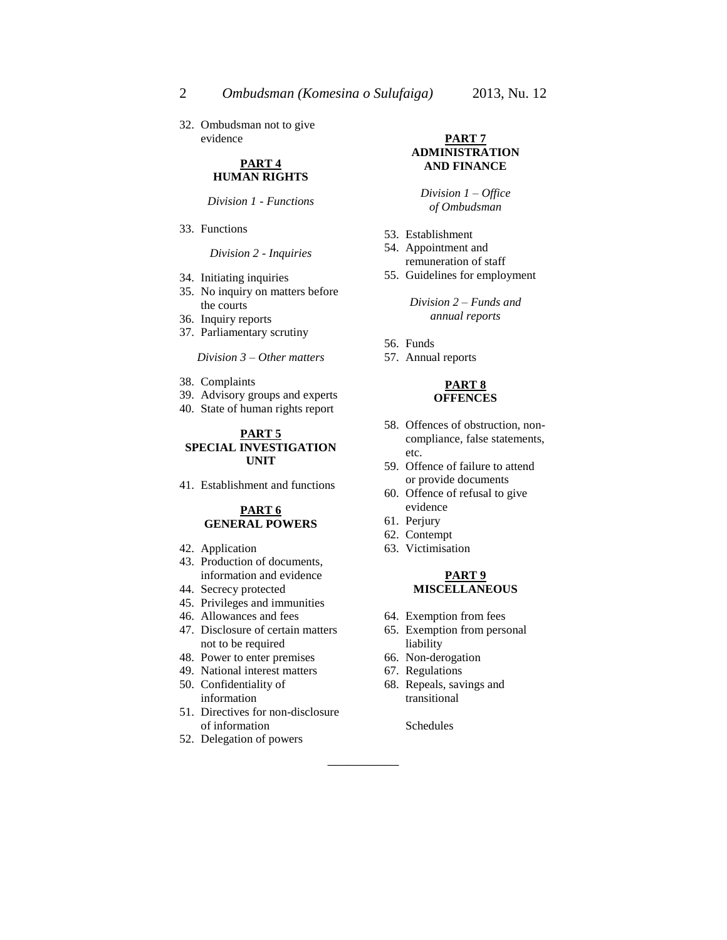32. Ombudsman not to give evidence

#### **PART 4 HUMAN RIGHTS**

*Division 1 - Functions*

33. Functions

*Division 2 - Inquiries*

- 34. Initiating inquiries
- 35. No inquiry on matters before the courts
- 36. Inquiry reports
- 37. Parliamentary scrutiny

*Division 3 – Other matters*

- 38. Complaints
- 39. Advisory groups and experts
- 40. State of human rights report

#### **PART 5 SPECIAL INVESTIGATION UNIT**

41. Establishment and functions

#### **PART 6 GENERAL POWERS**

- 42. Application
- 43. Production of documents, information and evidence
- 44. Secrecy protected
- 45. Privileges and immunities
- 46. Allowances and fees
- 47. Disclosure of certain matters not to be required
- 48. Power to enter premises
- 49. National interest matters
- 50. Confidentiality of information
- 51. Directives for non-disclosure of information
- 52. Delegation of powers

#### **PART 7 ADMINISTRATION AND FINANCE**

*Division 1 – Office of Ombudsman*

- 53. Establishment
- 54. Appointment and remuneration of staff
- 55. Guidelines for employment

*Division 2 – Funds and annual reports*

- 56. Funds
- 57. Annual reports

#### **PART 8 OFFENCES**

- 58. Offences of obstruction, noncompliance, false statements, etc.
- 59. Offence of failure to attend or provide documents
- 60. Offence of refusal to give evidence
- 61. Perjury
- 62. Contempt
- 63. Victimisation

#### **PART 9 MISCELLANEOUS**

- 64. Exemption from fees
- 65. Exemption from personal liability
- 66. Non-derogation
- 67. Regulations
- 68. Repeals, savings and transitional

Schedules

\_\_\_\_\_\_\_\_\_\_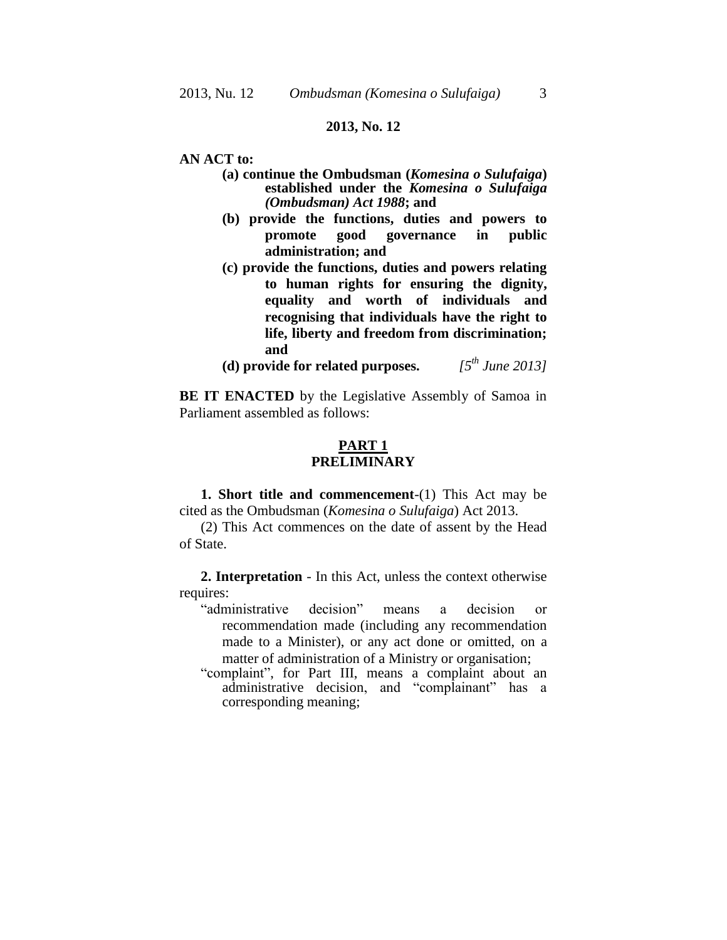### **2013, No. 12**

**AN ACT to:**

- **(a) continue the Ombudsman (***Komesina o Sulufaiga***) established under the** *Komesina o Sulufaiga (Ombudsman) Act 1988***; and**
- **(b) provide the functions, duties and powers to promote good governance in public administration; and**
- **(c) provide the functions, duties and powers relating to human rights for ensuring the dignity, equality and worth of individuals and recognising that individuals have the right to life, liberty and freedom from discrimination; and**
- **(d) provide for related purposes.** *[5 th June 2013]*

**BE IT ENACTED** by the Legislative Assembly of Samoa in Parliament assembled as follows:

### **PART 1 PRELIMINARY**

**1. Short title and commencement**-(1) This Act may be cited as the Ombudsman (*Komesina o Sulufaiga*) Act 2013.

(2) This Act commences on the date of assent by the Head of State.

**2. Interpretation** - In this Act, unless the context otherwise requires:

- "administrative decision" means a decision or recommendation made (including any recommendation made to a Minister), or any act done or omitted, on a matter of administration of a Ministry or organisation;
- "complaint", for Part III, means a complaint about an administrative decision, and "complainant" has a corresponding meaning;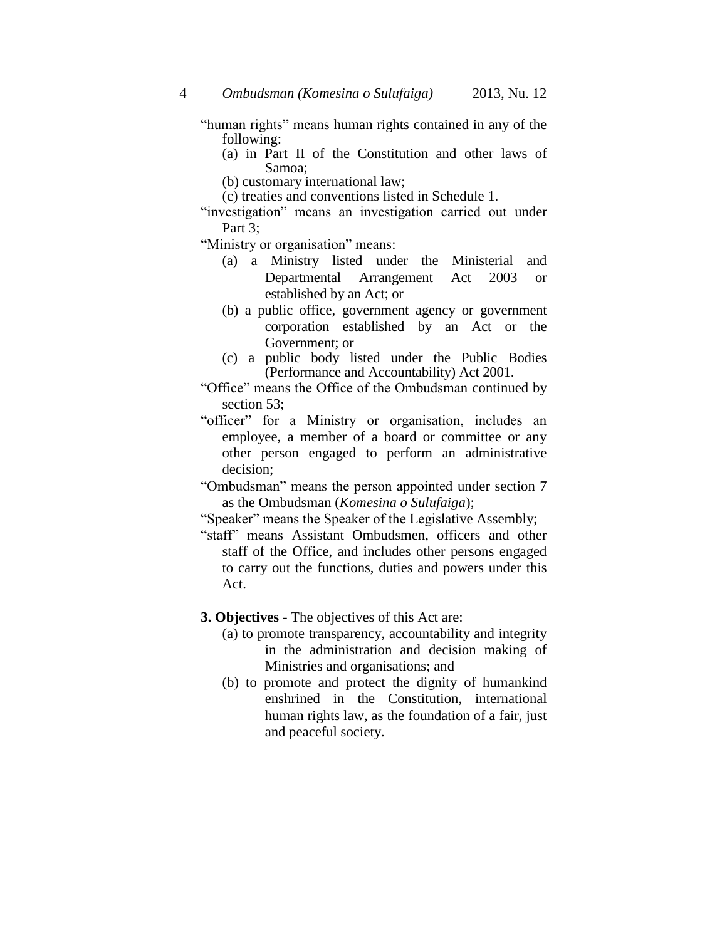"human rights" means human rights contained in any of the following:

- (a) in Part II of the Constitution and other laws of Samoa;
- (b) customary international law;
- (c) treaties and conventions listed in Schedule 1.
- "investigation" means an investigation carried out under Part 3:

"Ministry or organisation" means:

- (a) a Ministry listed under the Ministerial and Departmental Arrangement Act 2003 or established by an Act; or
- (b) a public office, government agency or government corporation established by an Act or the Government; or
- (c) a public body listed under the Public Bodies (Performance and Accountability) Act 2001.
- "Office" means the Office of the Ombudsman continued by section 53:
- "officer" for a Ministry or organisation, includes an employee, a member of a board or committee or any other person engaged to perform an administrative decision;
- "Ombudsman" means the person appointed under section 7 as the Ombudsman (*Komesina o Sulufaiga*);
- "Speaker" means the Speaker of the Legislative Assembly;
- "staff" means Assistant Ombudsmen, officers and other staff of the Office, and includes other persons engaged to carry out the functions, duties and powers under this Act.

### **3. Objectives** - The objectives of this Act are:

- (a) to promote transparency, accountability and integrity in the administration and decision making of Ministries and organisations; and
- (b) to promote and protect the dignity of humankind enshrined in the Constitution, international human rights law, as the foundation of a fair, just and peaceful society.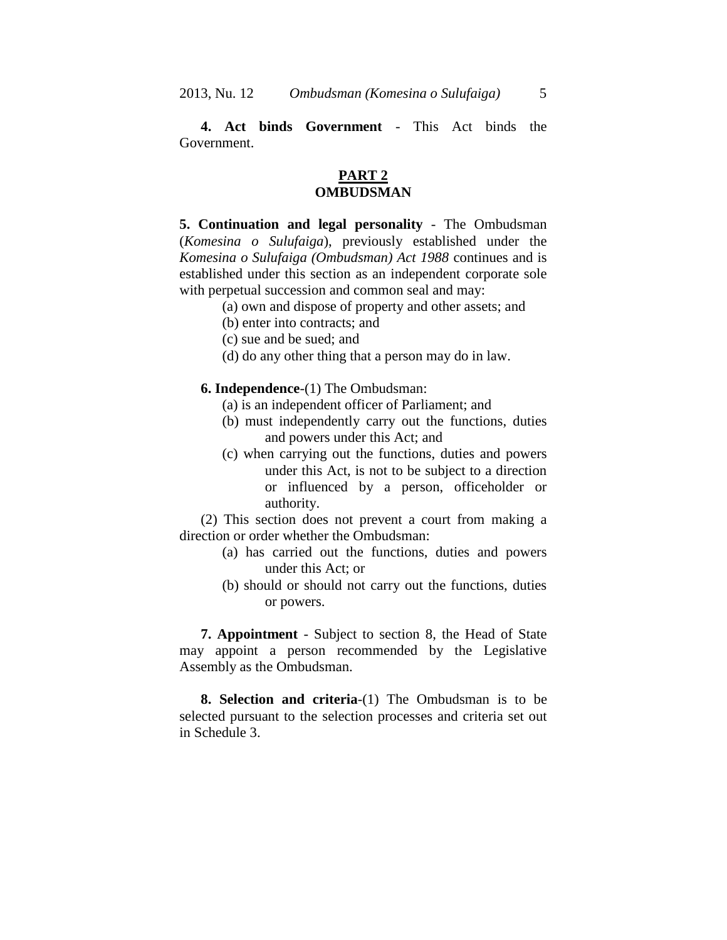**4. Act binds Government** - This Act binds the Government.

### **PART 2 OMBUDSMAN**

**5. Continuation and legal personality** - The Ombudsman (*Komesina o Sulufaiga*), previously established under the *Komesina o Sulufaiga (Ombudsman) Act 1988* continues and is established under this section as an independent corporate sole with perpetual succession and common seal and may:

- (a) own and dispose of property and other assets; and
- (b) enter into contracts; and
- (c) sue and be sued; and
- (d) do any other thing that a person may do in law.

**6. Independence**-(1) The Ombudsman:

- (a) is an independent officer of Parliament; and
- (b) must independently carry out the functions, duties and powers under this Act; and
- (c) when carrying out the functions, duties and powers under this Act, is not to be subject to a direction or influenced by a person, officeholder or authority.

(2) This section does not prevent a court from making a direction or order whether the Ombudsman:

- (a) has carried out the functions, duties and powers under this Act; or
- (b) should or should not carry out the functions, duties or powers.

**7. Appointment** - Subject to section 8, the Head of State may appoint a person recommended by the Legislative Assembly as the Ombudsman.

**8. Selection and criteria**-(1) The Ombudsman is to be selected pursuant to the selection processes and criteria set out in Schedule 3.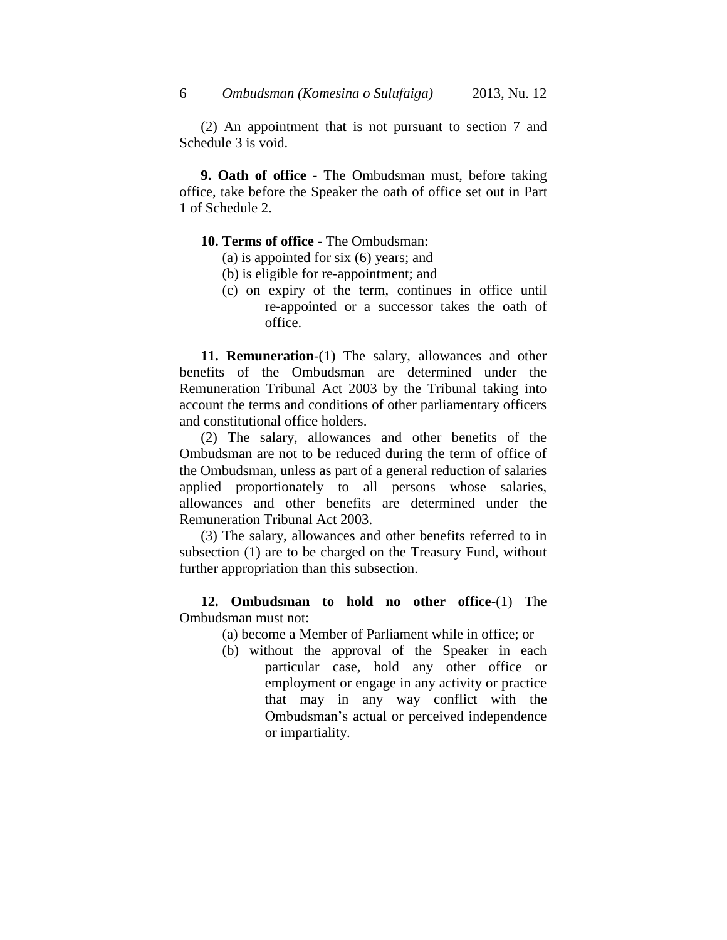(2) An appointment that is not pursuant to section 7 and Schedule 3 is void.

**9. Oath of office** - The Ombudsman must, before taking office, take before the Speaker the oath of office set out in Part 1 of Schedule 2.

### **10. Terms of office** - The Ombudsman:

- (a) is appointed for six (6) years; and
- (b) is eligible for re-appointment; and
- (c) on expiry of the term, continues in office until re-appointed or a successor takes the oath of office.

**11. Remuneration**-(1) The salary, allowances and other benefits of the Ombudsman are determined under the Remuneration Tribunal Act 2003 by the Tribunal taking into account the terms and conditions of other parliamentary officers and constitutional office holders.

(2) The salary, allowances and other benefits of the Ombudsman are not to be reduced during the term of office of the Ombudsman, unless as part of a general reduction of salaries applied proportionately to all persons whose salaries, allowances and other benefits are determined under the Remuneration Tribunal Act 2003.

(3) The salary, allowances and other benefits referred to in subsection (1) are to be charged on the Treasury Fund, without further appropriation than this subsection.

**12. Ombudsman to hold no other office**-(1) The Ombudsman must not:

(a) become a Member of Parliament while in office; or

(b) without the approval of the Speaker in each particular case, hold any other office or employment or engage in any activity or practice that may in any way conflict with the Ombudsman's actual or perceived independence or impartiality.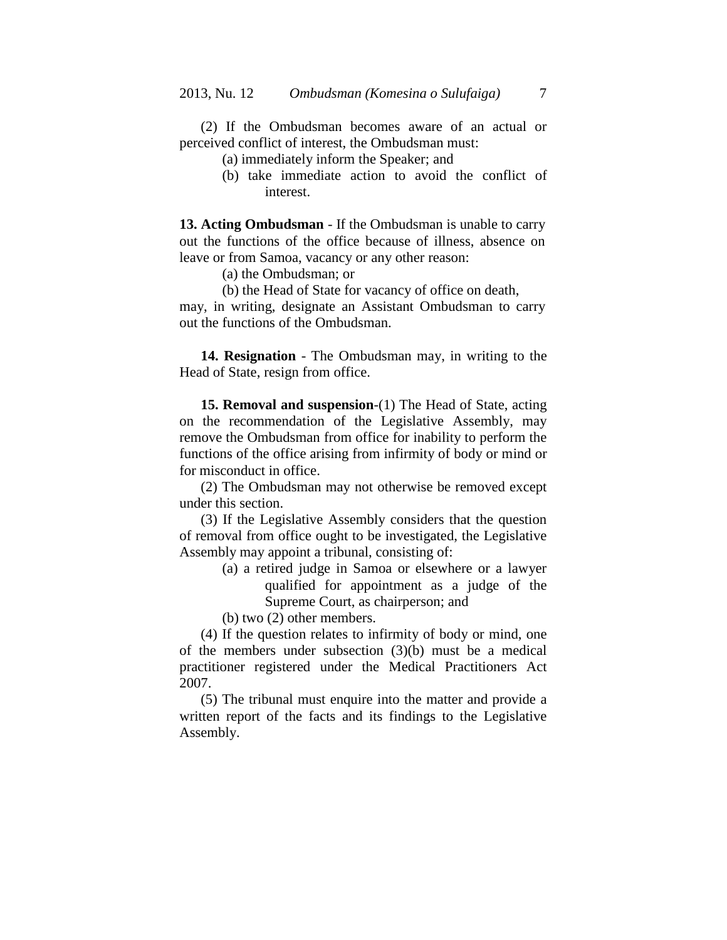(2) If the Ombudsman becomes aware of an actual or perceived conflict of interest, the Ombudsman must:

(a) immediately inform the Speaker; and

(b) take immediate action to avoid the conflict of interest.

**13. Acting Ombudsman** - If the Ombudsman is unable to carry out the functions of the office because of illness, absence on leave or from Samoa, vacancy or any other reason:

(a) the Ombudsman; or

(b) the Head of State for vacancy of office on death,

may, in writing, designate an Assistant Ombudsman to carry out the functions of the Ombudsman.

**14. Resignation** - The Ombudsman may, in writing to the Head of State, resign from office.

**15. Removal and suspension**-(1) The Head of State, acting on the recommendation of the Legislative Assembly, may remove the Ombudsman from office for inability to perform the functions of the office arising from infirmity of body or mind or for misconduct in office.

(2) The Ombudsman may not otherwise be removed except under this section.

(3) If the Legislative Assembly considers that the question of removal from office ought to be investigated, the Legislative Assembly may appoint a tribunal, consisting of:

- (a) a retired judge in Samoa or elsewhere or a lawyer qualified for appointment as a judge of the Supreme Court, as chairperson; and
- (b) two (2) other members.

(4) If the question relates to infirmity of body or mind, one of the members under subsection (3)(b) must be a medical practitioner registered under the Medical Practitioners Act 2007.

(5) The tribunal must enquire into the matter and provide a written report of the facts and its findings to the Legislative Assembly.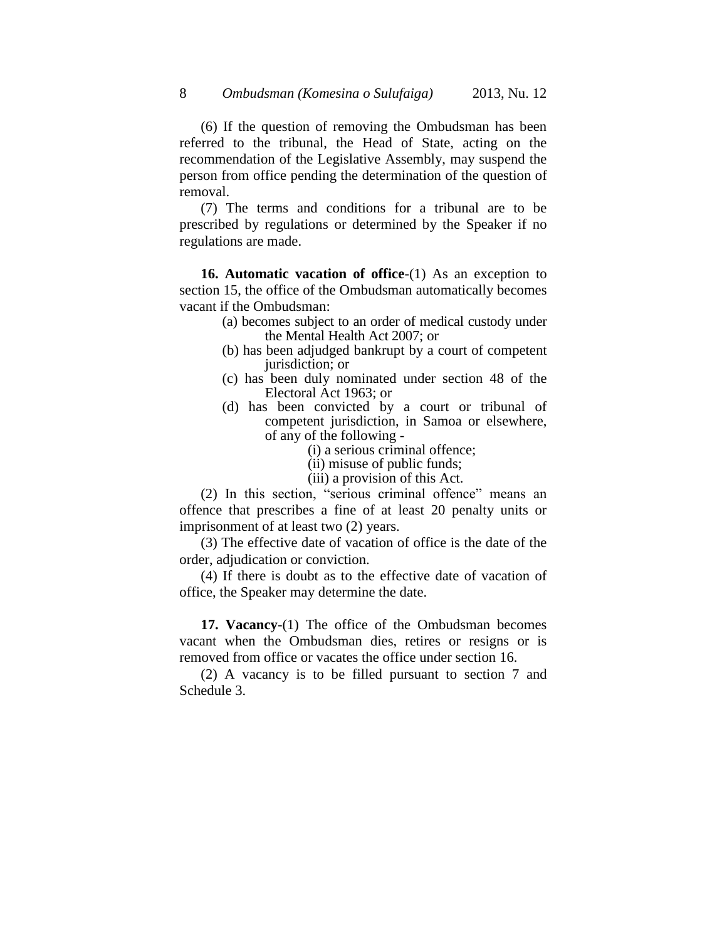(6) If the question of removing the Ombudsman has been referred to the tribunal, the Head of State, acting on the recommendation of the Legislative Assembly, may suspend the person from office pending the determination of the question of removal.

(7) The terms and conditions for a tribunal are to be prescribed by regulations or determined by the Speaker if no regulations are made.

**16. Automatic vacation of office**-(1) As an exception to section 15, the office of the Ombudsman automatically becomes vacant if the Ombudsman:

- (a) becomes subject to an order of medical custody under the Mental Health Act 2007; or
- (b) has been adjudged bankrupt by a court of competent jurisdiction; or
- (c) has been duly nominated under section 48 of the Electoral Act 1963; or
- (d) has been convicted by a court or tribunal of competent jurisdiction, in Samoa or elsewhere, of any of the following -
	- (i) a serious criminal offence;
	- (ii) misuse of public funds;
	- (iii) a provision of this Act.

(2) In this section, "serious criminal offence" means an offence that prescribes a fine of at least 20 penalty units or imprisonment of at least two (2) years.

(3) The effective date of vacation of office is the date of the order, adjudication or conviction.

(4) If there is doubt as to the effective date of vacation of office, the Speaker may determine the date.

**17. Vacancy**-(1) The office of the Ombudsman becomes vacant when the Ombudsman dies, retires or resigns or is removed from office or vacates the office under section 16.

(2) A vacancy is to be filled pursuant to section 7 and Schedule 3.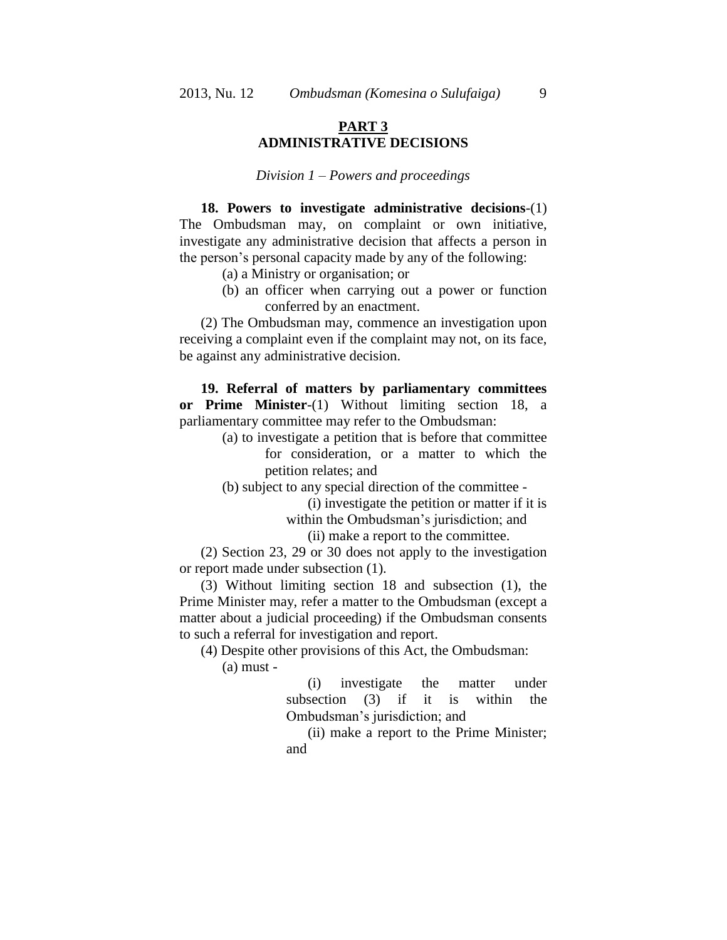## **PART 3 ADMINISTRATIVE DECISIONS**

#### *Division 1 – Powers and proceedings*

**18. Powers to investigate administrative decisions**-(1) The Ombudsman may, on complaint or own initiative, investigate any administrative decision that affects a person in the person's personal capacity made by any of the following:

- (a) a Ministry or organisation; or
- (b) an officer when carrying out a power or function conferred by an enactment.

(2) The Ombudsman may, commence an investigation upon receiving a complaint even if the complaint may not, on its face, be against any administrative decision.

**19. Referral of matters by parliamentary committees or Prime Minister**-(1) Without limiting section 18, a parliamentary committee may refer to the Ombudsman:

> (a) to investigate a petition that is before that committee for consideration, or a matter to which the petition relates; and

(b) subject to any special direction of the committee -

(i) investigate the petition or matter if it is within the Ombudsman's jurisdiction; and

(ii) make a report to the committee.

(2) Section 23, 29 or 30 does not apply to the investigation or report made under subsection (1).

(3) Without limiting section 18 and subsection (1), the Prime Minister may, refer a matter to the Ombudsman (except a matter about a judicial proceeding) if the Ombudsman consents to such a referral for investigation and report.

(4) Despite other provisions of this Act, the Ombudsman:

(a) must -

(i) investigate the matter under subsection (3) if it is within the Ombudsman's jurisdiction; and

(ii) make a report to the Prime Minister; and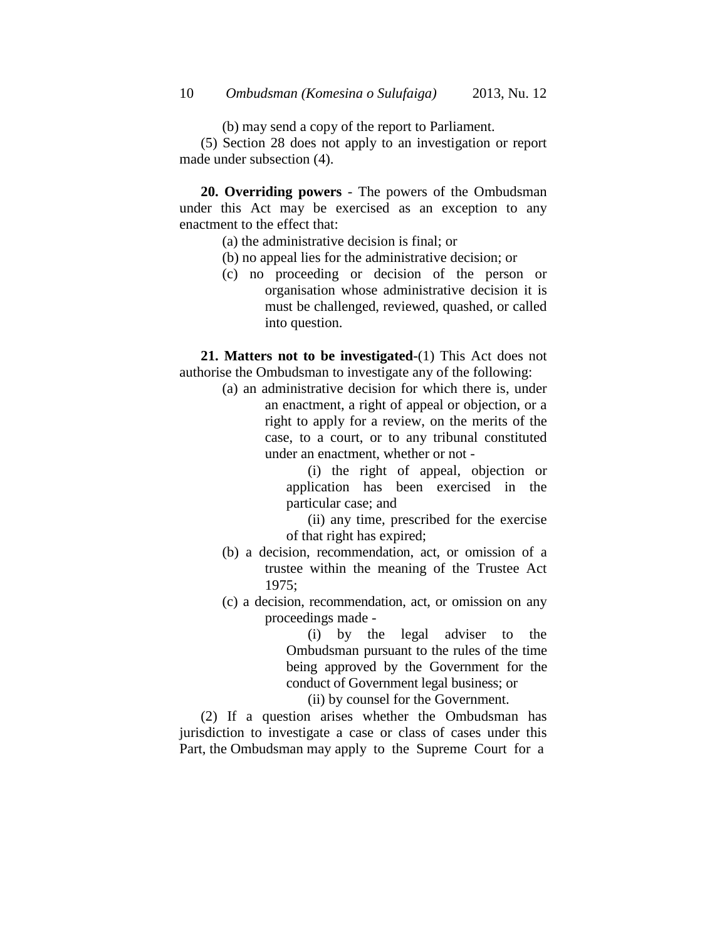(b) may send a copy of the report to Parliament.

(5) Section 28 does not apply to an investigation or report made under subsection (4).

**20. Overriding powers** - The powers of the Ombudsman under this Act may be exercised as an exception to any enactment to the effect that:

- (a) the administrative decision is final; or
- (b) no appeal lies for the administrative decision; or
- (c) no proceeding or decision of the person or organisation whose administrative decision it is must be challenged, reviewed, quashed, or called into question.

**21. Matters not to be investigated**-(1) This Act does not authorise the Ombudsman to investigate any of the following:

(a) an administrative decision for which there is, under an enactment, a right of appeal or objection, or a right to apply for a review, on the merits of the case, to a court, or to any tribunal constituted under an enactment, whether or not -

> (i) the right of appeal, objection or application has been exercised in the particular case; and

> (ii) any time, prescribed for the exercise of that right has expired;

- (b) a decision, recommendation, act, or omission of a trustee within the meaning of the Trustee Act 1975;
- (c) a decision, recommendation, act, or omission on any proceedings made -

(i) by the legal adviser to the Ombudsman pursuant to the rules of the time being approved by the Government for the conduct of Government legal business; or

(ii) by counsel for the Government.

(2) If a question arises whether the Ombudsman has jurisdiction to investigate a case or class of cases under this Part, the Ombudsman may apply to the Supreme Court for a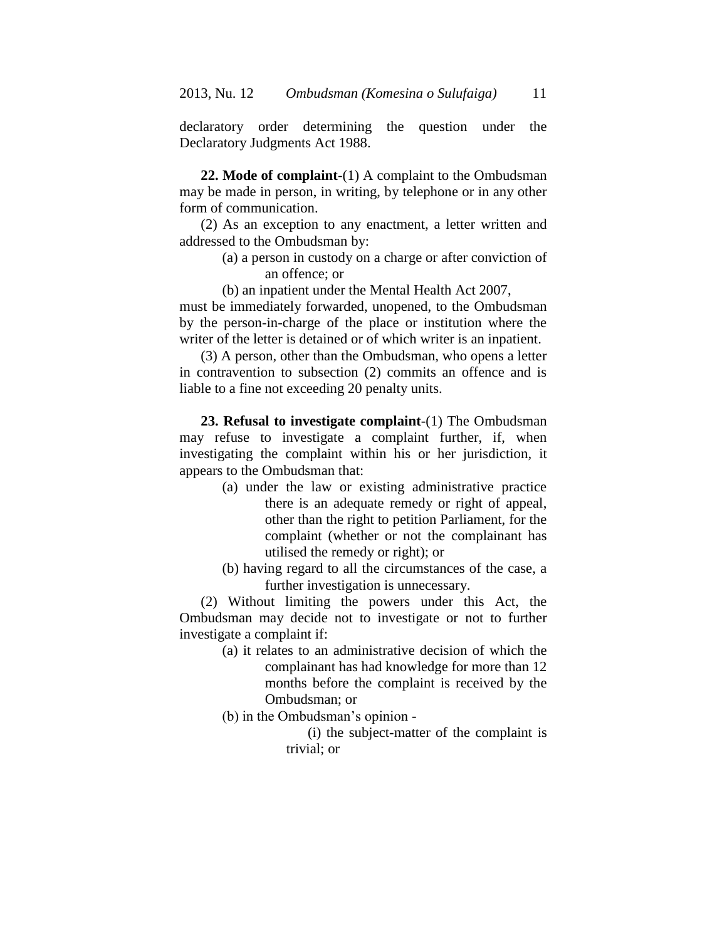declaratory order determining the question under the Declaratory Judgments Act 1988.

**22. Mode of complaint**-(1) A complaint to the Ombudsman may be made in person, in writing, by telephone or in any other form of communication.

(2) As an exception to any enactment, a letter written and addressed to the Ombudsman by:

- (a) a person in custody on a charge or after conviction of an offence; or
- (b) an inpatient under the Mental Health Act 2007,

must be immediately forwarded, unopened, to the Ombudsman by the person-in-charge of the place or institution where the writer of the letter is detained or of which writer is an inpatient.

(3) A person, other than the Ombudsman, who opens a letter in contravention to subsection (2) commits an offence and is liable to a fine not exceeding 20 penalty units.

**23. Refusal to investigate complaint**-(1) The Ombudsman may refuse to investigate a complaint further, if, when investigating the complaint within his or her jurisdiction, it appears to the Ombudsman that:

- (a) under the law or existing administrative practice there is an adequate remedy or right of appeal, other than the right to petition Parliament, for the complaint (whether or not the complainant has utilised the remedy or right); or
- (b) having regard to all the circumstances of the case, a further investigation is unnecessary.

(2) Without limiting the powers under this Act, the Ombudsman may decide not to investigate or not to further investigate a complaint if:

> (a) it relates to an administrative decision of which the complainant has had knowledge for more than 12 months before the complaint is received by the Ombudsman; or

(b) in the Ombudsman's opinion -

(i) the subject-matter of the complaint is trivial; or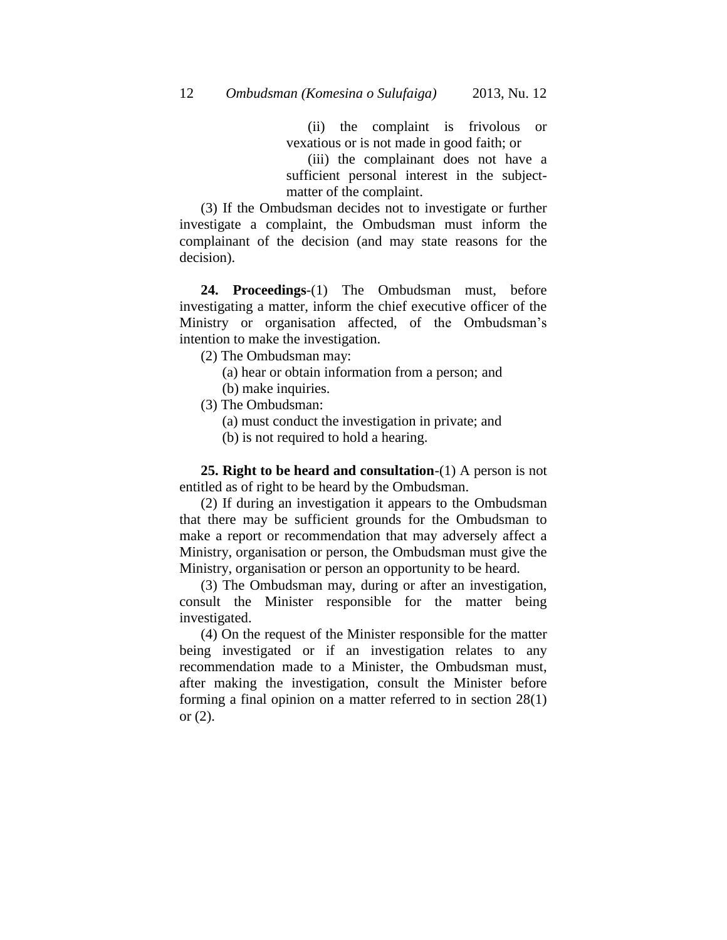(ii) the complaint is frivolous or vexatious or is not made in good faith; or

(iii) the complainant does not have a sufficient personal interest in the subjectmatter of the complaint.

(3) If the Ombudsman decides not to investigate or further investigate a complaint, the Ombudsman must inform the complainant of the decision (and may state reasons for the decision).

**24. Proceedings**-(1) The Ombudsman must, before investigating a matter, inform the chief executive officer of the Ministry or organisation affected, of the Ombudsman's intention to make the investigation.

(2) The Ombudsman may:

(a) hear or obtain information from a person; and

- (b) make inquiries.
- (3) The Ombudsman:

(a) must conduct the investigation in private; and

(b) is not required to hold a hearing.

**25. Right to be heard and consultation**-(1) A person is not entitled as of right to be heard by the Ombudsman.

(2) If during an investigation it appears to the Ombudsman that there may be sufficient grounds for the Ombudsman to make a report or recommendation that may adversely affect a Ministry, organisation or person, the Ombudsman must give the Ministry, organisation or person an opportunity to be heard.

(3) The Ombudsman may, during or after an investigation, consult the Minister responsible for the matter being investigated.

(4) On the request of the Minister responsible for the matter being investigated or if an investigation relates to any recommendation made to a Minister, the Ombudsman must, after making the investigation, consult the Minister before forming a final opinion on a matter referred to in section 28(1) or  $(2)$ .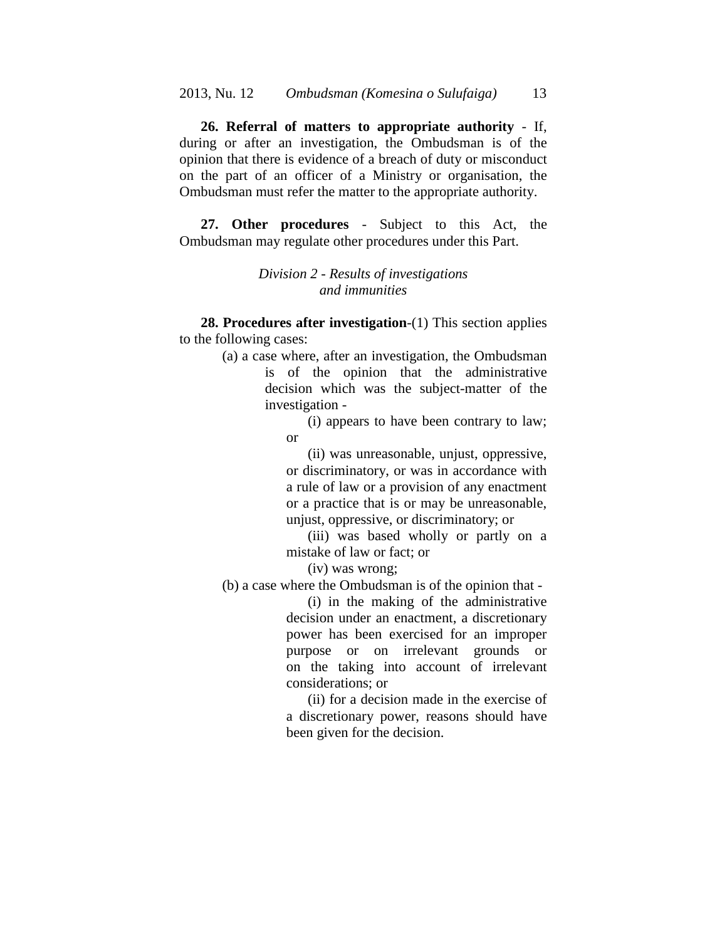**26. Referral of matters to appropriate authority** - If, during or after an investigation, the Ombudsman is of the opinion that there is evidence of a breach of duty or misconduct on the part of an officer of a Ministry or organisation, the Ombudsman must refer the matter to the appropriate authority.

**27. Other procedures** - Subject to this Act, the Ombudsman may regulate other procedures under this Part.

## *Division 2 - Results of investigations and immunities*

**28. Procedures after investigation**-(1) This section applies to the following cases:

> (a) a case where, after an investigation, the Ombudsman is of the opinion that the administrative decision which was the subject-matter of the investigation -

> > (i) appears to have been contrary to law; or

> > (ii) was unreasonable, unjust, oppressive, or discriminatory, or was in accordance with a rule of law or a provision of any enactment or a practice that is or may be unreasonable, unjust, oppressive, or discriminatory; or

> > (iii) was based wholly or partly on a mistake of law or fact; or

(iv) was wrong;

(b) a case where the Ombudsman is of the opinion that -

(i) in the making of the administrative decision under an enactment, a discretionary power has been exercised for an improper purpose or on irrelevant grounds or on the taking into account of irrelevant considerations; or

(ii) for a decision made in the exercise of a discretionary power, reasons should have been given for the decision.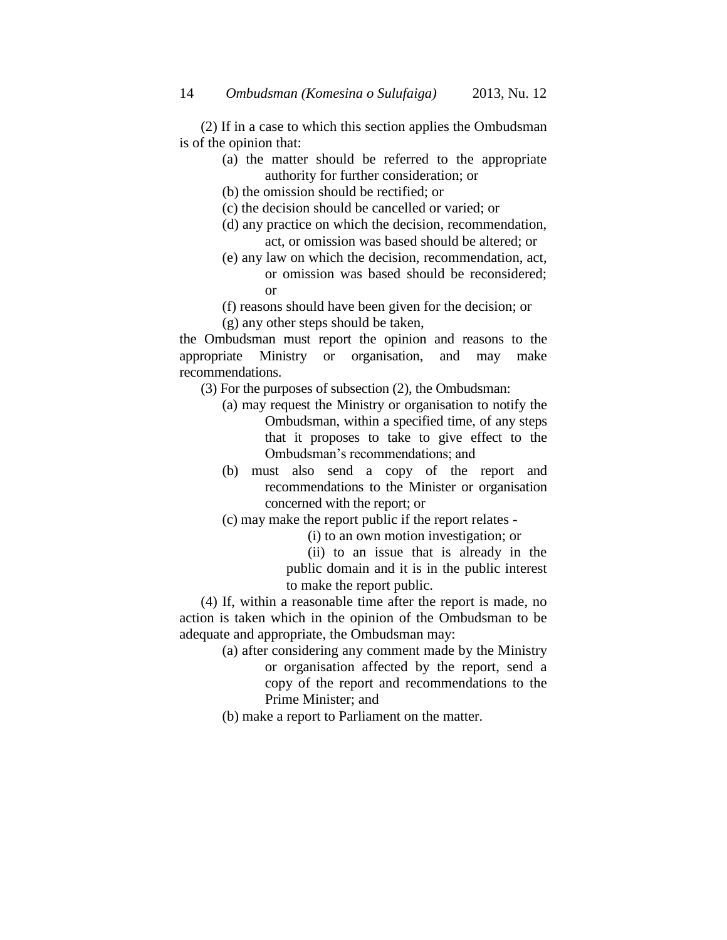(2) If in a case to which this section applies the Ombudsman is of the opinion that:

- (a) the matter should be referred to the appropriate authority for further consideration; or
- (b) the omission should be rectified; or
- (c) the decision should be cancelled or varied; or
- (d) any practice on which the decision, recommendation, act, or omission was based should be altered; or
- (e) any law on which the decision, recommendation, act, or omission was based should be reconsidered; or
- (f) reasons should have been given for the decision; or
- (g) any other steps should be taken,

the Ombudsman must report the opinion and reasons to the appropriate Ministry or organisation, and may make recommendations.

- (3) For the purposes of subsection (2), the Ombudsman:
	- (a) may request the Ministry or organisation to notify the Ombudsman, within a specified time, of any steps that it proposes to take to give effect to the Ombudsman's recommendations; and
	- (b) must also send a copy of the report and recommendations to the Minister or organisation concerned with the report; or
	- (c) may make the report public if the report relates
		- (i) to an own motion investigation; or

(ii) to an issue that is already in the public domain and it is in the public interest to make the report public.

(4) If, within a reasonable time after the report is made, no action is taken which in the opinion of the Ombudsman to be adequate and appropriate, the Ombudsman may:

- (a) after considering any comment made by the Ministry or organisation affected by the report, send a copy of the report and recommendations to the Prime Minister; and
- (b) make a report to Parliament on the matter.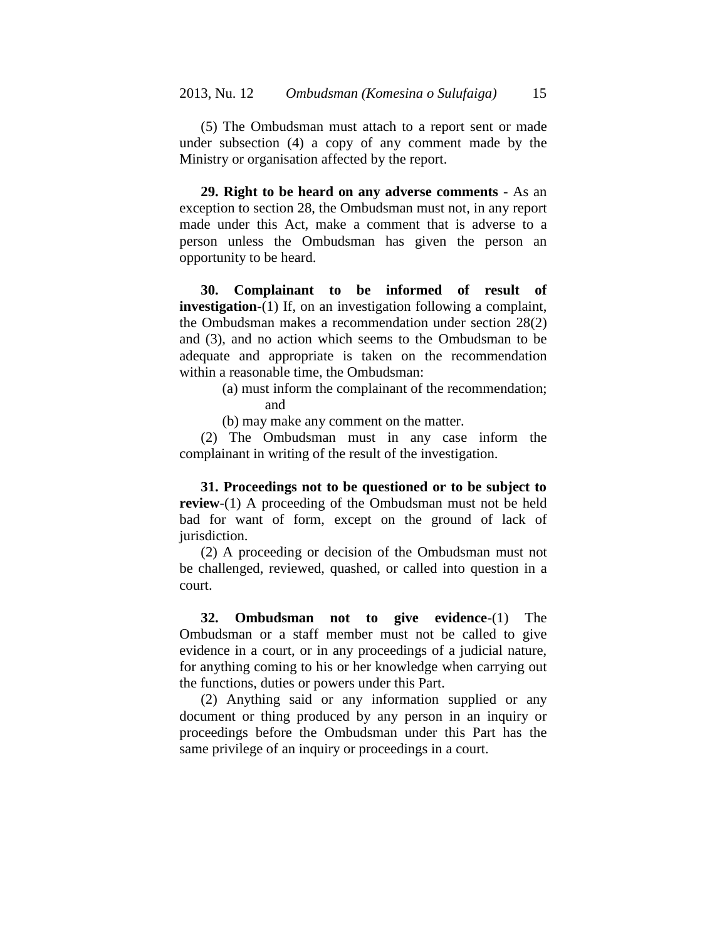(5) The Ombudsman must attach to a report sent or made under subsection (4) a copy of any comment made by the Ministry or organisation affected by the report.

**29. Right to be heard on any adverse comments** - As an exception to section 28, the Ombudsman must not, in any report made under this Act, make a comment that is adverse to a person unless the Ombudsman has given the person an opportunity to be heard.

**30. Complainant to be informed of result of investigation**-(1) If, on an investigation following a complaint, the Ombudsman makes a recommendation under section 28(2) and (3), and no action which seems to the Ombudsman to be adequate and appropriate is taken on the recommendation within a reasonable time, the Ombudsman:

- (a) must inform the complainant of the recommendation; and
- (b) may make any comment on the matter.

(2) The Ombudsman must in any case inform the complainant in writing of the result of the investigation.

**31. Proceedings not to be questioned or to be subject to review**-(1) A proceeding of the Ombudsman must not be held bad for want of form, except on the ground of lack of jurisdiction.

(2) A proceeding or decision of the Ombudsman must not be challenged, reviewed, quashed, or called into question in a court.

**32. Ombudsman not to give evidence**-(1) The Ombudsman or a staff member must not be called to give evidence in a court, or in any proceedings of a judicial nature, for anything coming to his or her knowledge when carrying out the functions, duties or powers under this Part.

(2) Anything said or any information supplied or any document or thing produced by any person in an inquiry or proceedings before the Ombudsman under this Part has the same privilege of an inquiry or proceedings in a court.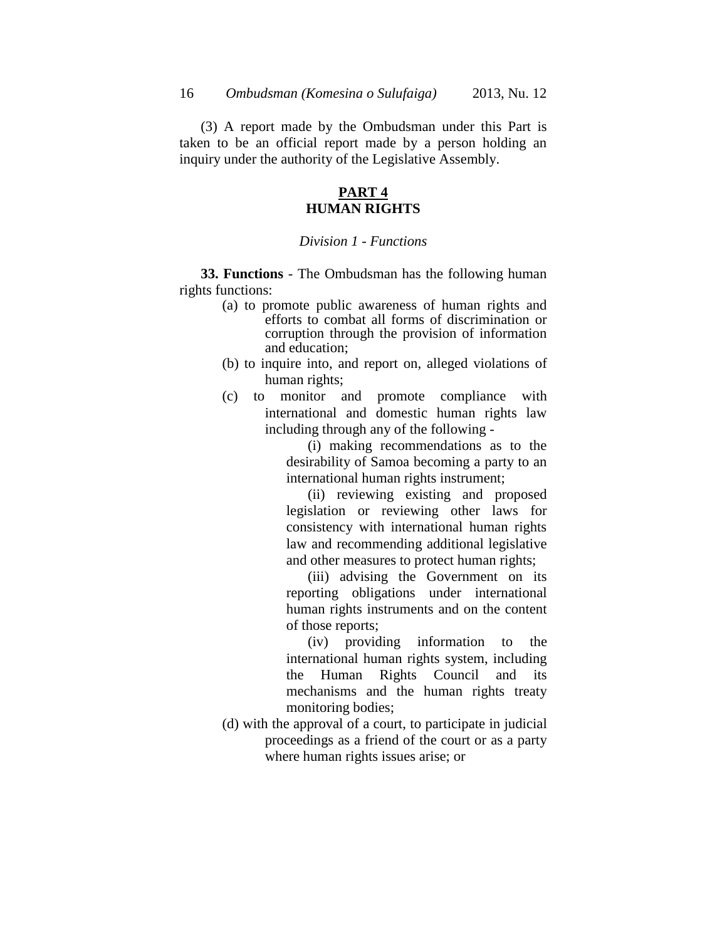(3) A report made by the Ombudsman under this Part is taken to be an official report made by a person holding an inquiry under the authority of the Legislative Assembly.

### **PART 4 HUMAN RIGHTS**

### *Division 1 - Functions*

**33. Functions** - The Ombudsman has the following human rights functions:

- (a) to promote public awareness of human rights and efforts to combat all forms of discrimination or corruption through the provision of information and education;
- (b) to inquire into, and report on, alleged violations of human rights;
- (c) to monitor and promote compliance with international and domestic human rights law including through any of the following -

(i) making recommendations as to the desirability of Samoa becoming a party to an international human rights instrument;

(ii) reviewing existing and proposed legislation or reviewing other laws for consistency with international human rights law and recommending additional legislative and other measures to protect human rights;

(iii) advising the Government on its reporting obligations under international human rights instruments and on the content of those reports;

(iv) providing information to the international human rights system, including the Human Rights Council and its mechanisms and the human rights treaty monitoring bodies;

(d) with the approval of a court, to participate in judicial proceedings as a friend of the court or as a party where human rights issues arise; or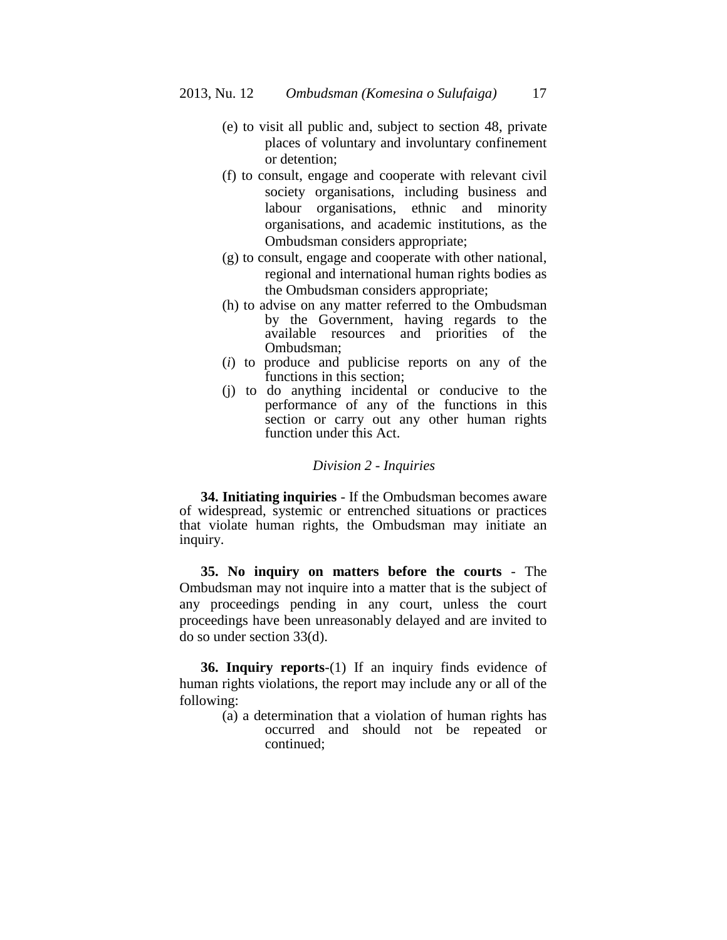- (e) to visit all public and, subject to section 48, private places of voluntary and involuntary confinement or detention;
- (f) to consult, engage and cooperate with relevant civil society organisations, including business and labour organisations, ethnic and minority organisations, and academic institutions, as the Ombudsman considers appropriate;
- (g) to consult, engage and cooperate with other national, regional and international human rights bodies as the Ombudsman considers appropriate;
- (h) to advise on any matter referred to the Ombudsman by the Government, having regards to the available resources and priorities of the Ombudsman;
- (*i*) to produce and publicise reports on any of the functions in this section;
- (j) to do anything incidental or conducive to the performance of any of the functions in this section or carry out any other human rights function under this Act.

### *Division 2 - Inquiries*

**34. Initiating inquiries** - If the Ombudsman becomes aware of widespread, systemic or entrenched situations or practices that violate human rights, the Ombudsman may initiate an inquiry.

**35. No inquiry on matters before the courts** - The Ombudsman may not inquire into a matter that is the subject of any proceedings pending in any court, unless the court proceedings have been unreasonably delayed and are invited to do so under section 33(d).

**36. Inquiry reports**-(1) If an inquiry finds evidence of human rights violations, the report may include any or all of the following:

> (a) a determination that a violation of human rights has occurred and should not be repeated or continued;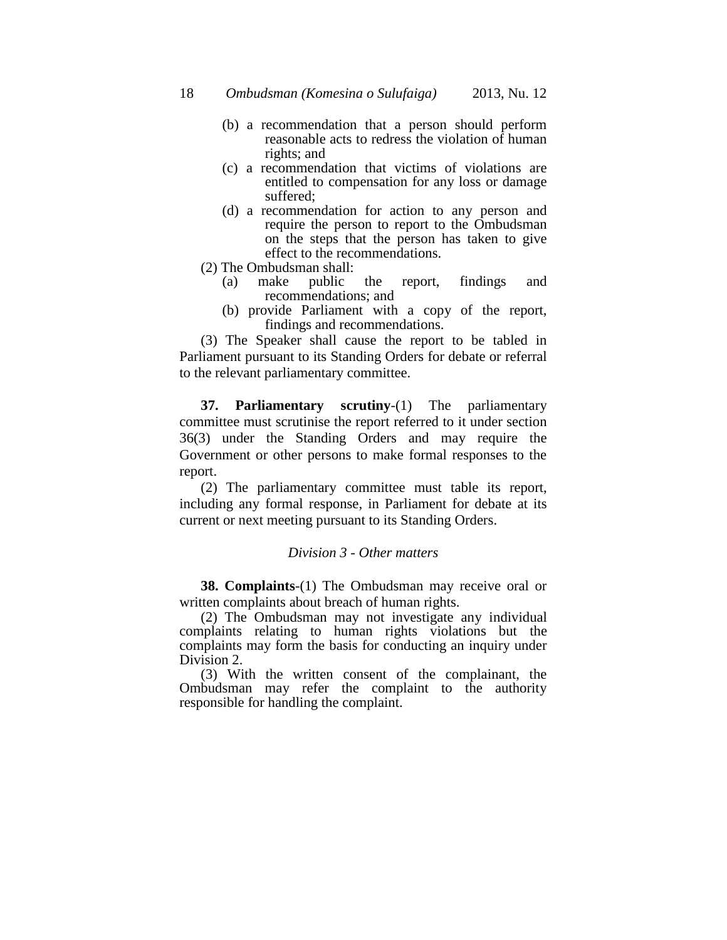- (b) a recommendation that a person should perform reasonable acts to redress the violation of human rights; and
- (c) a recommendation that victims of violations are entitled to compensation for any loss or damage suffered;
- (d) a recommendation for action to any person and require the person to report to the Ombudsman on the steps that the person has taken to give effect to the recommendations.
- (2) The Ombudsman shall:
	- (a) make public the report, findings and recommendations; and
	- (b) provide Parliament with a copy of the report, findings and recommendations.

(3) The Speaker shall cause the report to be tabled in Parliament pursuant to its Standing Orders for debate or referral to the relevant parliamentary committee.

**37. Parliamentary scrutiny**-(1) The parliamentary committee must scrutinise the report referred to it under section 36(3) under the Standing Orders and may require the Government or other persons to make formal responses to the report.

(2) The parliamentary committee must table its report, including any formal response, in Parliament for debate at its current or next meeting pursuant to its Standing Orders.

#### *Division 3 - Other matters*

**38. Complaints**-(1) The Ombudsman may receive oral or written complaints about breach of human rights.

(2) The Ombudsman may not investigate any individual complaints relating to human rights violations but the complaints may form the basis for conducting an inquiry under Division 2.

(3) With the written consent of the complainant, the Ombudsman may refer the complaint to the authority responsible for handling the complaint.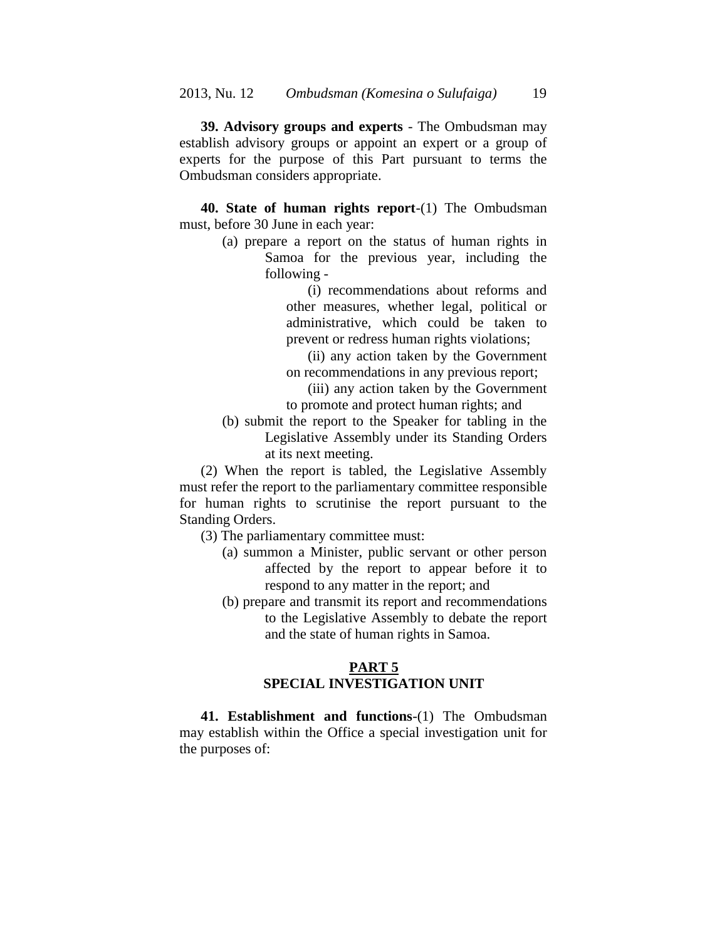**39. Advisory groups and experts** - The Ombudsman may establish advisory groups or appoint an expert or a group of experts for the purpose of this Part pursuant to terms the Ombudsman considers appropriate.

**40. State of human rights report**-(1) The Ombudsman must, before 30 June in each year:

> (a) prepare a report on the status of human rights in Samoa for the previous year, including the following -

> > (i) recommendations about reforms and other measures, whether legal, political or administrative, which could be taken to prevent or redress human rights violations;

> > (ii) any action taken by the Government on recommendations in any previous report;

> > (iii) any action taken by the Government to promote and protect human rights; and

(b) submit the report to the Speaker for tabling in the Legislative Assembly under its Standing Orders at its next meeting.

(2) When the report is tabled, the Legislative Assembly must refer the report to the parliamentary committee responsible for human rights to scrutinise the report pursuant to the Standing Orders.

- (3) The parliamentary committee must:
	- (a) summon a Minister, public servant or other person affected by the report to appear before it to respond to any matter in the report; and
	- (b) prepare and transmit its report and recommendations to the Legislative Assembly to debate the report and the state of human rights in Samoa.

## **PART 5 SPECIAL INVESTIGATION UNIT**

**41. Establishment and functions**-(1) The Ombudsman may establish within the Office a special investigation unit for the purposes of: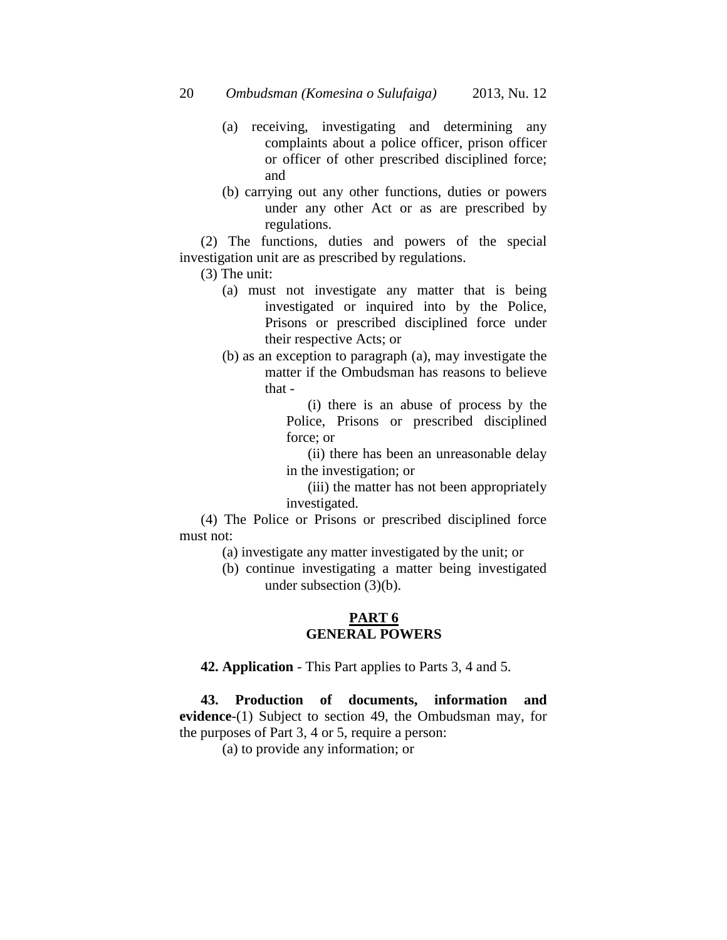20 *Ombudsman (Komesina o Sulufaiga)* 2013, Nu. 12

- (a) receiving, investigating and determining any complaints about a police officer, prison officer or officer of other prescribed disciplined force; and
- (b) carrying out any other functions, duties or powers under any other Act or as are prescribed by regulations.

(2) The functions, duties and powers of the special investigation unit are as prescribed by regulations.

(3) The unit:

- (a) must not investigate any matter that is being investigated or inquired into by the Police, Prisons or prescribed disciplined force under their respective Acts; or
- (b) as an exception to paragraph (a), may investigate the matter if the Ombudsman has reasons to believe that -

(i) there is an abuse of process by the Police, Prisons or prescribed disciplined force; or

(ii) there has been an unreasonable delay in the investigation; or

(iii) the matter has not been appropriately investigated.

(4) The Police or Prisons or prescribed disciplined force must not:

- (a) investigate any matter investigated by the unit; or
- (b) continue investigating a matter being investigated under subsection (3)(b).

## **PART 6 GENERAL POWERS**

**42. Application** - This Part applies to Parts 3, 4 and 5.

**43. Production of documents, information and evidence**-(1) Subject to section 49, the Ombudsman may, for the purposes of Part 3, 4 or 5, require a person:

(a) to provide any information; or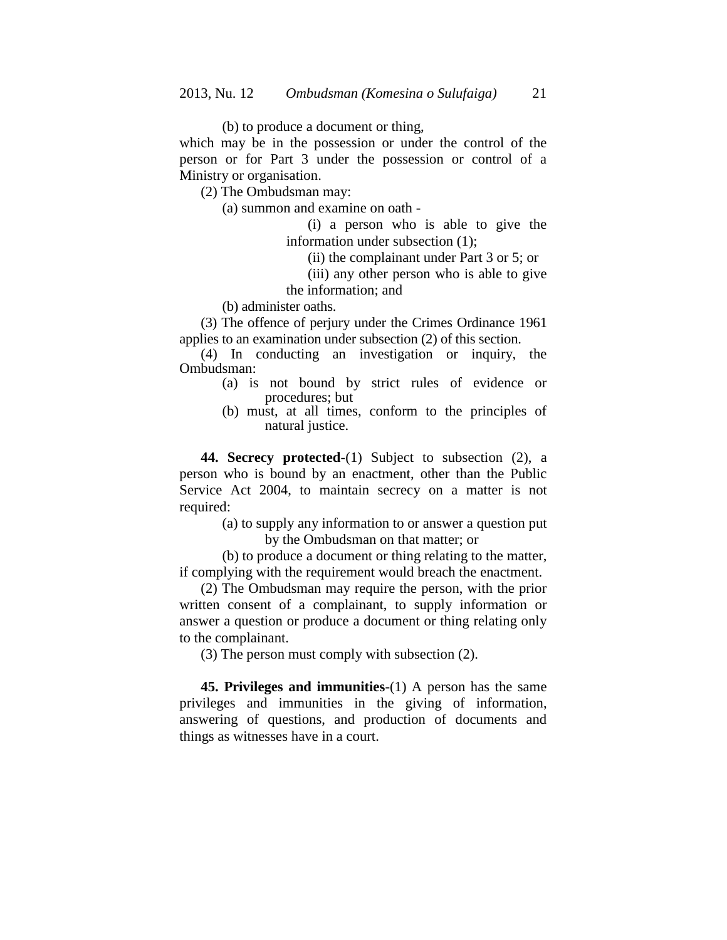(b) to produce a document or thing,

which may be in the possession or under the control of the person or for Part 3 under the possession or control of a Ministry or organisation.

(2) The Ombudsman may:

(a) summon and examine on oath -

(i) a person who is able to give the information under subsection (1);

(ii) the complainant under Part 3 or 5; or

(iii) any other person who is able to give the information; and

(b) administer oaths.

(3) The offence of perjury under the Crimes Ordinance 1961 applies to an examination under subsection (2) of this section.

(4) In conducting an investigation or inquiry, the Ombudsman:

- (a) is not bound by strict rules of evidence or procedures; but
- (b) must, at all times, conform to the principles of natural justice.

**44. Secrecy protected**-(1) Subject to subsection (2), a person who is bound by an enactment, other than the Public Service Act 2004, to maintain secrecy on a matter is not required:

> (a) to supply any information to or answer a question put by the Ombudsman on that matter; or

(b) to produce a document or thing relating to the matter, if complying with the requirement would breach the enactment.

(2) The Ombudsman may require the person, with the prior written consent of a complainant, to supply information or answer a question or produce a document or thing relating only to the complainant.

(3) The person must comply with subsection (2).

**45. Privileges and immunities**-(1) A person has the same privileges and immunities in the giving of information, answering of questions, and production of documents and things as witnesses have in a court.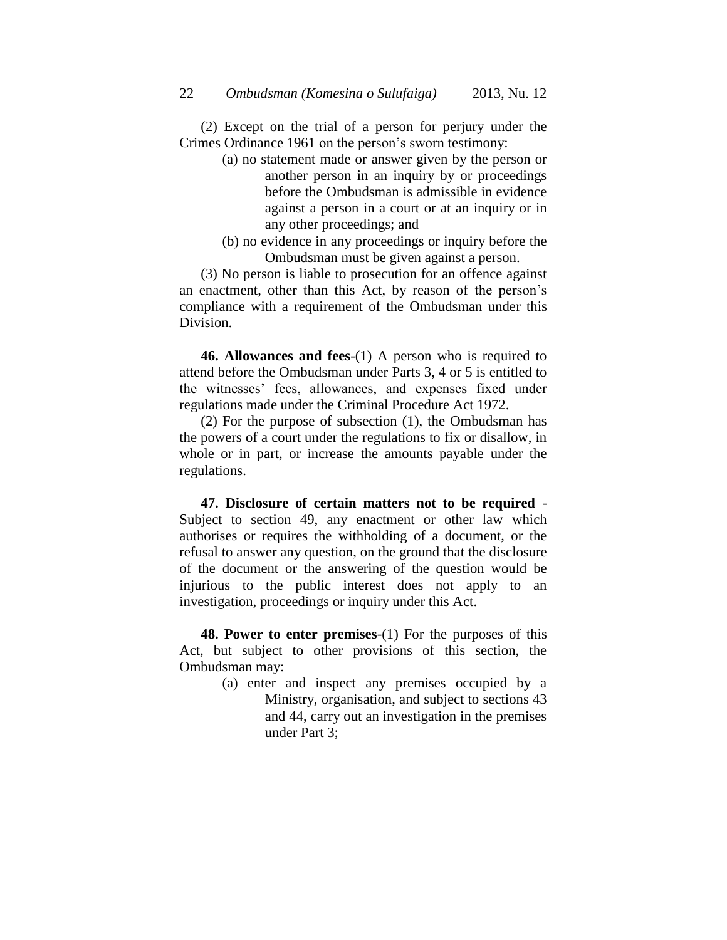(2) Except on the trial of a person for perjury under the Crimes Ordinance 1961 on the person's sworn testimony:

- (a) no statement made or answer given by the person or another person in an inquiry by or proceedings before the Ombudsman is admissible in evidence against a person in a court or at an inquiry or in any other proceedings; and
- (b) no evidence in any proceedings or inquiry before the Ombudsman must be given against a person.

(3) No person is liable to prosecution for an offence against an enactment, other than this Act, by reason of the person's compliance with a requirement of the Ombudsman under this Division.

**46. Allowances and fees**-(1) A person who is required to attend before the Ombudsman under Parts 3, 4 or 5 is entitled to the witnesses' fees, allowances, and expenses fixed under regulations made under the Criminal Procedure Act 1972.

(2) For the purpose of subsection (1), the Ombudsman has the powers of a court under the regulations to fix or disallow, in whole or in part, or increase the amounts payable under the regulations.

**47. Disclosure of certain matters not to be required** - Subject to section 49, any enactment or other law which authorises or requires the withholding of a document, or the refusal to answer any question, on the ground that the disclosure of the document or the answering of the question would be injurious to the public interest does not apply to an investigation, proceedings or inquiry under this Act.

**48. Power to enter premises**-(1) For the purposes of this Act, but subject to other provisions of this section, the Ombudsman may:

> (a) enter and inspect any premises occupied by a Ministry, organisation, and subject to sections 43 and 44, carry out an investigation in the premises under Part 3;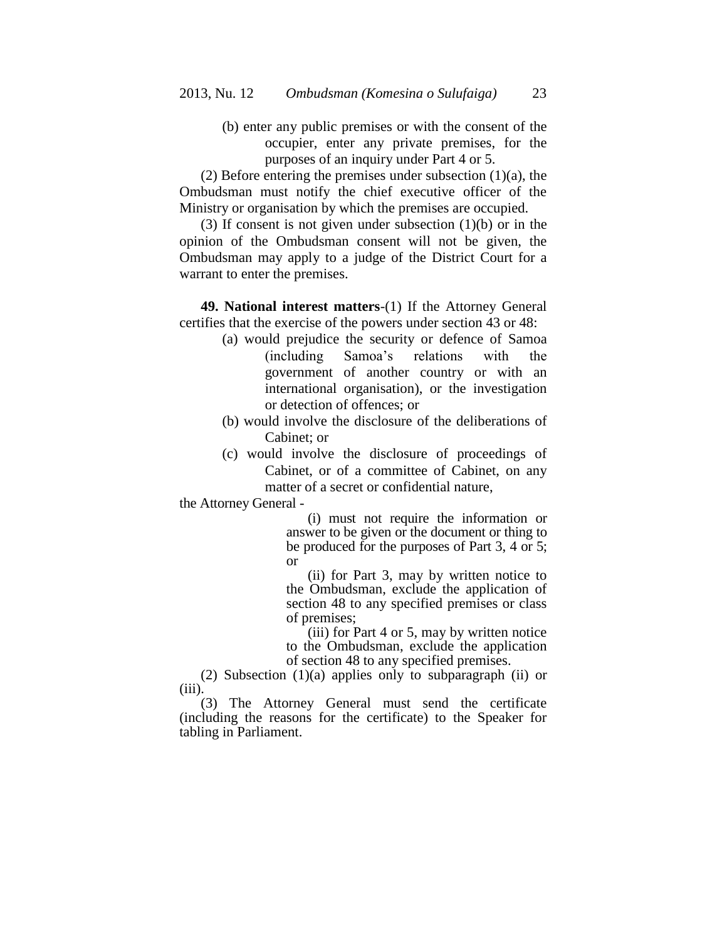(b) enter any public premises or with the consent of the occupier, enter any private premises, for the purposes of an inquiry under Part 4 or 5.

(2) Before entering the premises under subsection  $(1)(a)$ , the Ombudsman must notify the chief executive officer of the Ministry or organisation by which the premises are occupied.

(3) If consent is not given under subsection (1)(b) or in the opinion of the Ombudsman consent will not be given, the Ombudsman may apply to a judge of the District Court for a warrant to enter the premises.

**49. National interest matters**-(1) If the Attorney General certifies that the exercise of the powers under section 43 or 48:

- (a) would prejudice the security or defence of Samoa (including Samoa's relations with the government of another country or with an international organisation), or the investigation or detection of offences; or
- (b) would involve the disclosure of the deliberations of Cabinet; or
- (c) would involve the disclosure of proceedings of Cabinet, or of a committee of Cabinet, on any matter of a secret or confidential nature,

the Attorney General -

(i) must not require the information or answer to be given or the document or thing to be produced for the purposes of Part 3, 4 or 5; or

(ii) for Part 3, may by written notice to the Ombudsman, exclude the application of section 48 to any specified premises or class of premises;

(iii) for Part 4 or 5, may by written notice to the Ombudsman, exclude the application of section 48 to any specified premises.

(2) Subsection (1)(a) applies only to subparagraph (ii) or (iii).

(3) The Attorney General must send the certificate (including the reasons for the certificate) to the Speaker for tabling in Parliament.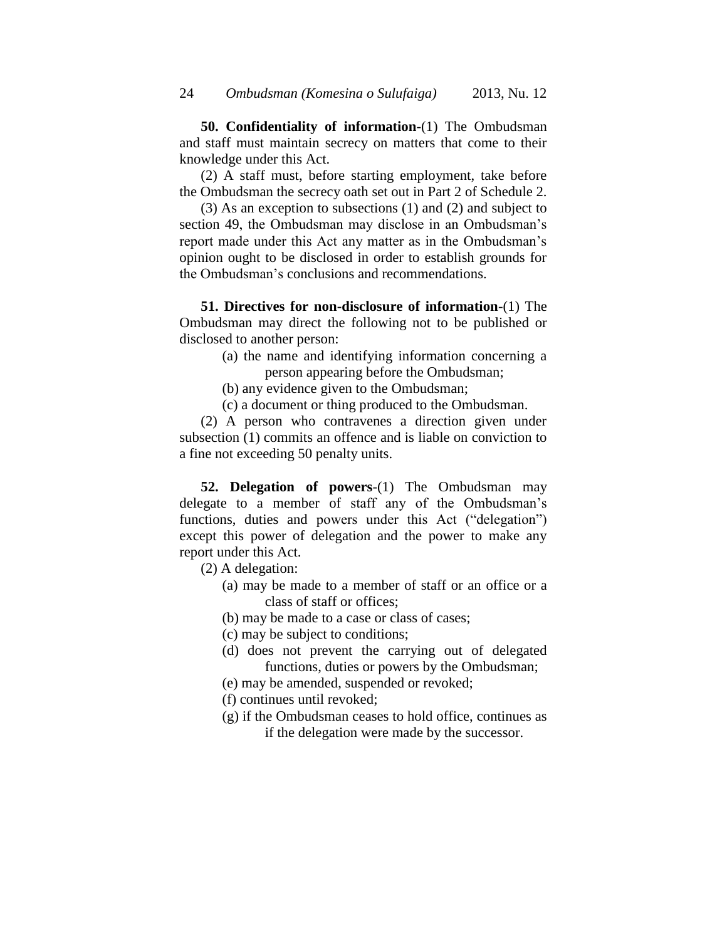**50. Confidentiality of information**-(1) The Ombudsman and staff must maintain secrecy on matters that come to their knowledge under this Act.

(2) A staff must, before starting employment, take before the Ombudsman the secrecy oath set out in Part 2 of Schedule 2.

(3) As an exception to subsections (1) and (2) and subject to section 49, the Ombudsman may disclose in an Ombudsman's report made under this Act any matter as in the Ombudsman's opinion ought to be disclosed in order to establish grounds for the Ombudsman's conclusions and recommendations.

**51. Directives for non-disclosure of information**-(1) The Ombudsman may direct the following not to be published or disclosed to another person:

- (a) the name and identifying information concerning a person appearing before the Ombudsman;
- (b) any evidence given to the Ombudsman;
- (c) a document or thing produced to the Ombudsman.

(2) A person who contravenes a direction given under subsection (1) commits an offence and is liable on conviction to a fine not exceeding 50 penalty units.

**52. Delegation of powers**-(1) The Ombudsman may delegate to a member of staff any of the Ombudsman's functions, duties and powers under this Act ("delegation") except this power of delegation and the power to make any report under this Act.

(2) A delegation:

- (a) may be made to a member of staff or an office or a class of staff or offices;
- (b) may be made to a case or class of cases;
- (c) may be subject to conditions;
- (d) does not prevent the carrying out of delegated functions, duties or powers by the Ombudsman;
- (e) may be amended, suspended or revoked;
- (f) continues until revoked;
- (g) if the Ombudsman ceases to hold office, continues as if the delegation were made by the successor.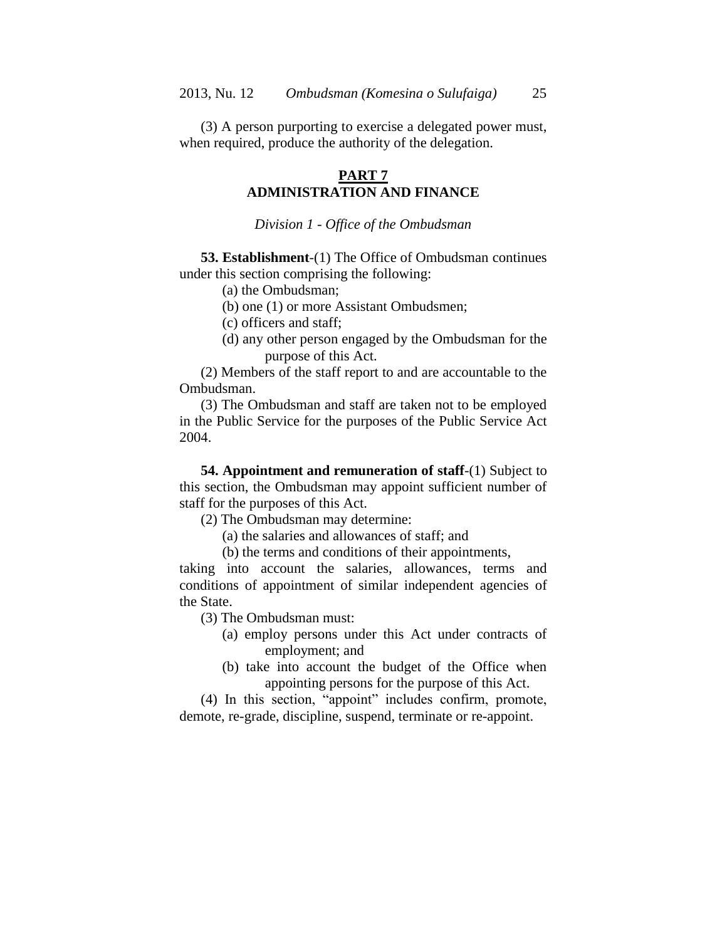(3) A person purporting to exercise a delegated power must, when required, produce the authority of the delegation.

## **PART 7 ADMINISTRATION AND FINANCE**

*Division 1 - Office of the Ombudsman*

**53. Establishment**-(1) The Office of Ombudsman continues under this section comprising the following:

(a) the Ombudsman;

(b) one (1) or more Assistant Ombudsmen;

(c) officers and staff;

(d) any other person engaged by the Ombudsman for the purpose of this Act.

(2) Members of the staff report to and are accountable to the Ombudsman.

(3) The Ombudsman and staff are taken not to be employed in the Public Service for the purposes of the Public Service Act 2004.

**54. Appointment and remuneration of staff**-(1) Subject to this section, the Ombudsman may appoint sufficient number of staff for the purposes of this Act.

(2) The Ombudsman may determine:

(a) the salaries and allowances of staff; and

(b) the terms and conditions of their appointments,

taking into account the salaries, allowances, terms and conditions of appointment of similar independent agencies of the State.

(3) The Ombudsman must:

- (a) employ persons under this Act under contracts of employment; and
- (b) take into account the budget of the Office when appointing persons for the purpose of this Act.

(4) In this section, "appoint" includes confirm, promote, demote, re-grade, discipline, suspend, terminate or re-appoint.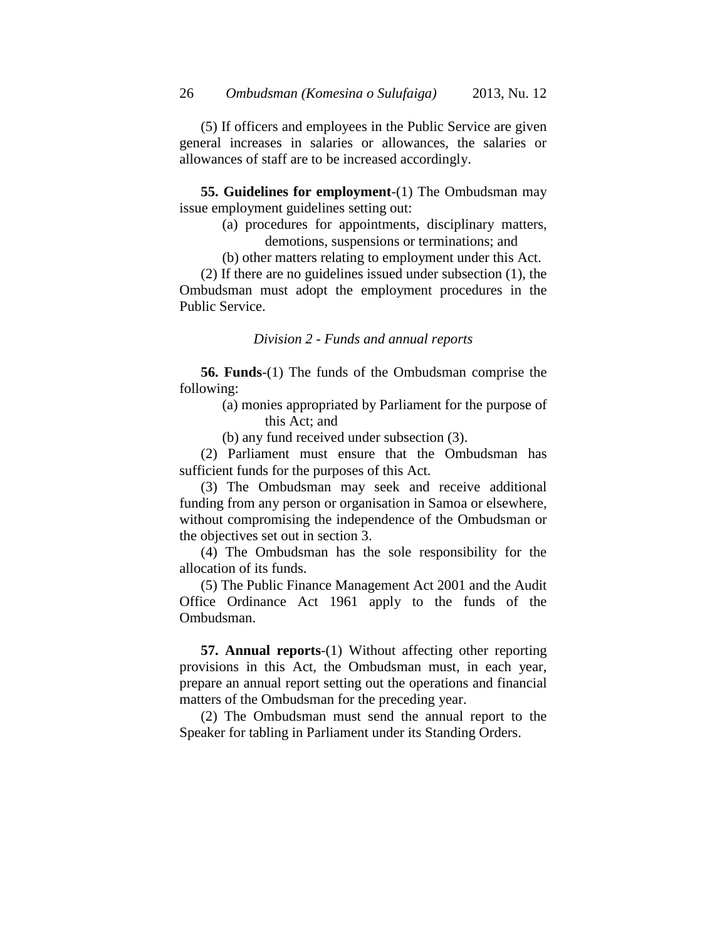(5) If officers and employees in the Public Service are given general increases in salaries or allowances, the salaries or allowances of staff are to be increased accordingly.

**55. Guidelines for employment**-(1) The Ombudsman may issue employment guidelines setting out:

- (a) procedures for appointments, disciplinary matters, demotions, suspensions or terminations; and
- (b) other matters relating to employment under this Act.

(2) If there are no guidelines issued under subsection (1), the Ombudsman must adopt the employment procedures in the Public Service.

*Division 2 - Funds and annual reports*

**56. Funds**-(1) The funds of the Ombudsman comprise the following:

> (a) monies appropriated by Parliament for the purpose of this Act; and

(b) any fund received under subsection (3).

(2) Parliament must ensure that the Ombudsman has sufficient funds for the purposes of this Act.

(3) The Ombudsman may seek and receive additional funding from any person or organisation in Samoa or elsewhere, without compromising the independence of the Ombudsman or the objectives set out in section 3.

(4) The Ombudsman has the sole responsibility for the allocation of its funds.

(5) The Public Finance Management Act 2001 and the Audit Office Ordinance Act 1961 apply to the funds of the Ombudsman.

**57. Annual reports**-(1) Without affecting other reporting provisions in this Act, the Ombudsman must, in each year, prepare an annual report setting out the operations and financial matters of the Ombudsman for the preceding year.

(2) The Ombudsman must send the annual report to the Speaker for tabling in Parliament under its Standing Orders.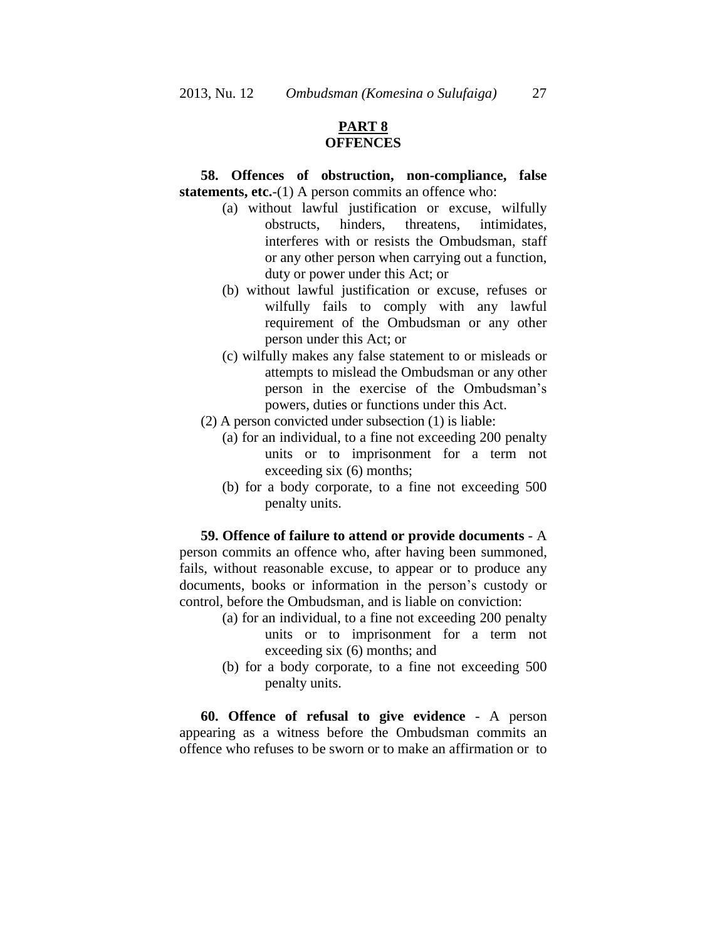# **PART 8 OFFENCES**

## **58. Offences of obstruction, non-compliance, false statements, etc.**-(1) A person commits an offence who:

- (a) without lawful justification or excuse, wilfully obstructs, hinders, threatens, intimidates, interferes with or resists the Ombudsman, staff or any other person when carrying out a function, duty or power under this Act; or
- (b) without lawful justification or excuse, refuses or wilfully fails to comply with any lawful requirement of the Ombudsman or any other person under this Act; or
- (c) wilfully makes any false statement to or misleads or attempts to mislead the Ombudsman or any other person in the exercise of the Ombudsman's powers, duties or functions under this Act.
- (2) A person convicted under subsection (1) is liable:
	- (a) for an individual, to a fine not exceeding 200 penalty units or to imprisonment for a term not exceeding six (6) months;
	- (b) for a body corporate, to a fine not exceeding 500 penalty units.

**59. Offence of failure to attend or provide documents** - A person commits an offence who, after having been summoned, fails, without reasonable excuse, to appear or to produce any documents, books or information in the person's custody or control, before the Ombudsman, and is liable on conviction:

- (a) for an individual, to a fine not exceeding 200 penalty units or to imprisonment for a term not exceeding six (6) months; and
- (b) for a body corporate, to a fine not exceeding 500 penalty units.

**60. Offence of refusal to give evidence** - A person appearing as a witness before the Ombudsman commits an offence who refuses to be sworn or to make an affirmation or to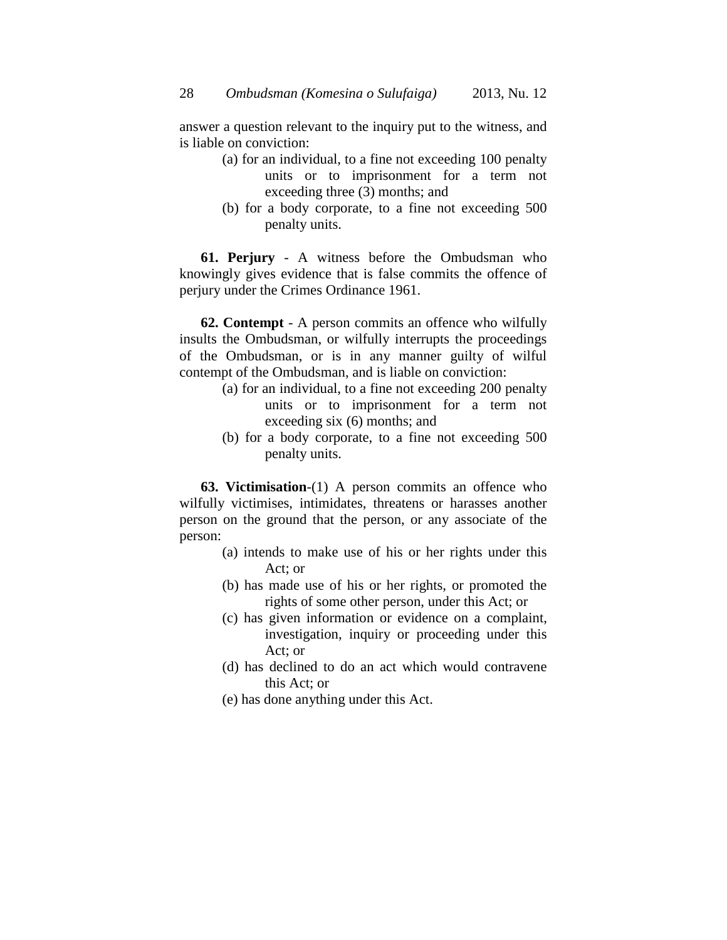answer a question relevant to the inquiry put to the witness, and is liable on conviction:

- (a) for an individual, to a fine not exceeding 100 penalty units or to imprisonment for a term not exceeding three (3) months; and
- (b) for a body corporate, to a fine not exceeding 500 penalty units.

**61. Perjury** - A witness before the Ombudsman who knowingly gives evidence that is false commits the offence of perjury under the Crimes Ordinance 1961.

**62. Contempt** - A person commits an offence who wilfully insults the Ombudsman, or wilfully interrupts the proceedings of the Ombudsman, or is in any manner guilty of wilful contempt of the Ombudsman, and is liable on conviction:

- (a) for an individual, to a fine not exceeding 200 penalty units or to imprisonment for a term not exceeding six (6) months; and
- (b) for a body corporate, to a fine not exceeding 500 penalty units.

**63. Victimisation**-(1) A person commits an offence who wilfully victimises, intimidates, threatens or harasses another person on the ground that the person, or any associate of the person:

- (a) intends to make use of his or her rights under this Act; or
- (b) has made use of his or her rights, or promoted the rights of some other person, under this Act; or
- (c) has given information or evidence on a complaint, investigation, inquiry or proceeding under this Act; or
- (d) has declined to do an act which would contravene this Act; or
- (e) has done anything under this Act.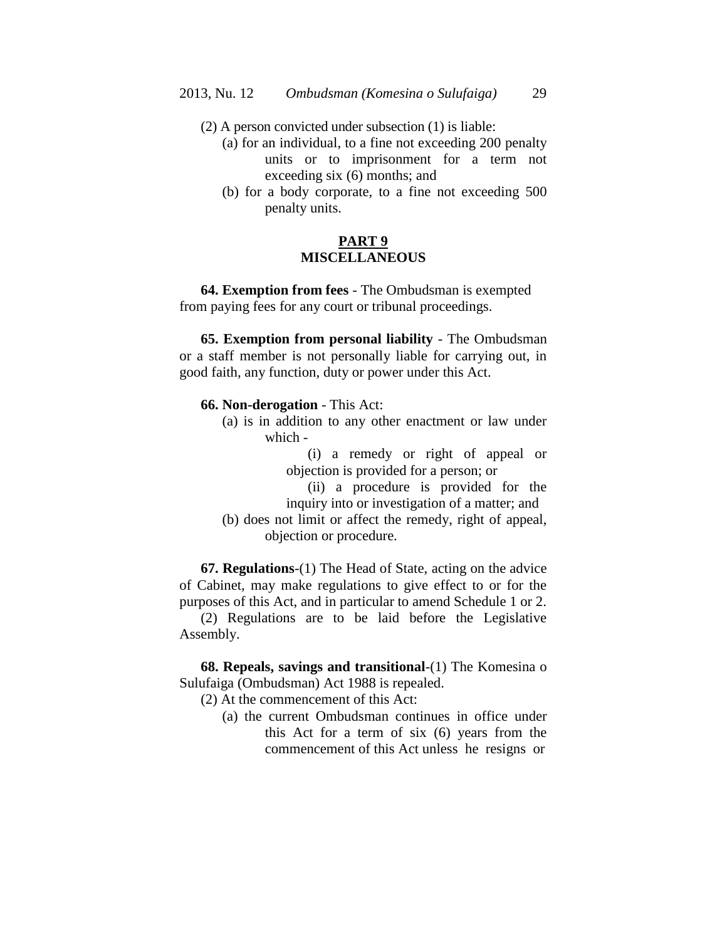- (2) A person convicted under subsection (1) is liable:
	- (a) for an individual, to a fine not exceeding 200 penalty units or to imprisonment for a term not exceeding six (6) months; and
	- (b) for a body corporate, to a fine not exceeding 500 penalty units.

## **PART 9 MISCELLANEOUS**

**64. Exemption from fees** - The Ombudsman is exempted from paying fees for any court or tribunal proceedings.

**65. Exemption from personal liability** - The Ombudsman or a staff member is not personally liable for carrying out, in good faith, any function, duty or power under this Act.

**66. Non-derogation** - This Act:

(a) is in addition to any other enactment or law under which -

> (i) a remedy or right of appeal or objection is provided for a person; or

- (ii) a procedure is provided for the inquiry into or investigation of a matter; and
- (b) does not limit or affect the remedy, right of appeal, objection or procedure.

**67. Regulations**-(1) The Head of State, acting on the advice of Cabinet, may make regulations to give effect to or for the purposes of this Act, and in particular to amend Schedule 1 or 2.

(2) Regulations are to be laid before the Legislative Assembly.

**68. Repeals, savings and transitional**-(1) The Komesina o Sulufaiga (Ombudsman) Act 1988 is repealed.

(2) At the commencement of this Act:

(a) the current Ombudsman continues in office under this Act for a term of six (6) years from the commencement of this Act unless he resigns or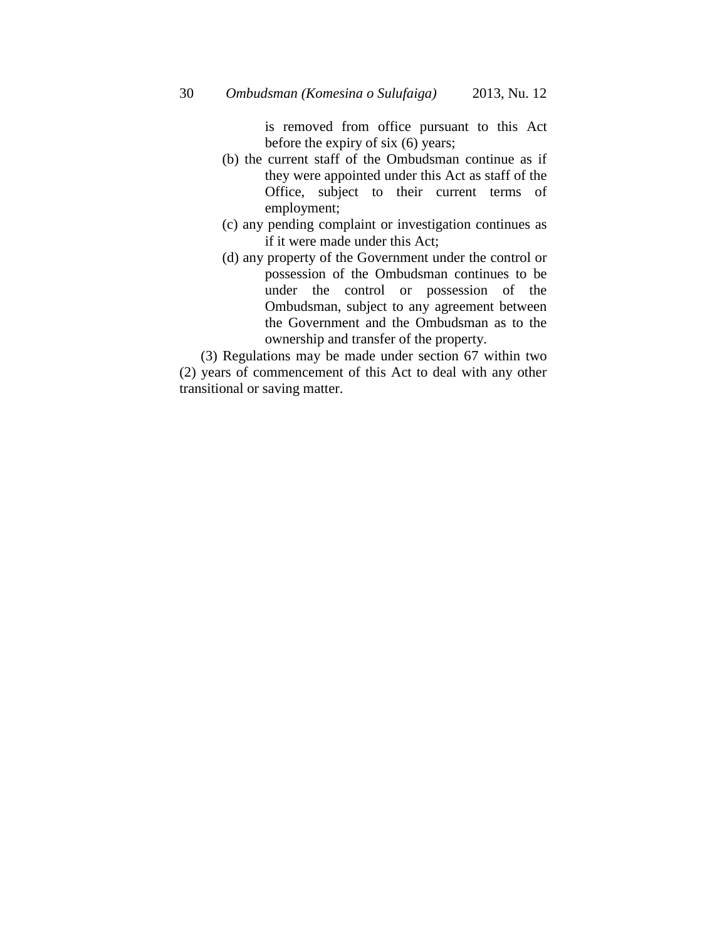is removed from office pursuant to this Act before the expiry of six (6) years;

- (b) the current staff of the Ombudsman continue as if they were appointed under this Act as staff of the Office, subject to their current terms of employment;
- (c) any pending complaint or investigation continues as if it were made under this Act;
- (d) any property of the Government under the control or possession of the Ombudsman continues to be under the control or possession of the Ombudsman, subject to any agreement between the Government and the Ombudsman as to the ownership and transfer of the property.

(3) Regulations may be made under section 67 within two (2) years of commencement of this Act to deal with any other transitional or saving matter.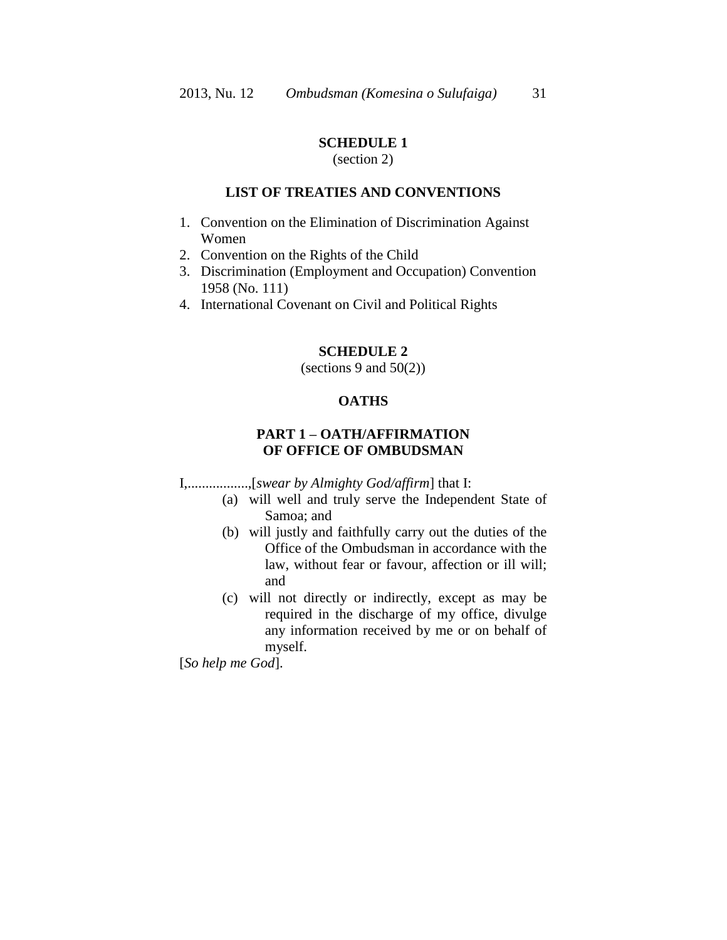## **SCHEDULE 1**

## (section 2)

### **LIST OF TREATIES AND CONVENTIONS**

- 1. Convention on the Elimination of Discrimination Against Women
- 2. Convention on the Rights of the Child
- 3. Discrimination (Employment and Occupation) Convention 1958 (No. 111)
- 4. International Covenant on Civil and Political Rights

### **SCHEDULE 2**

(sections 9 and  $50(2)$ )

## **OATHS**

# **PART 1 – OATH/AFFIRMATION OF OFFICE OF OMBUDSMAN**

I,.................,[*swear by Almighty God/affirm*] that I:

- (a) will well and truly serve the Independent State of Samoa; and
- (b) will justly and faithfully carry out the duties of the Office of the Ombudsman in accordance with the law, without fear or favour, affection or ill will; and
- (c) will not directly or indirectly, except as may be required in the discharge of my office, divulge any information received by me or on behalf of myself.

[*So help me God*].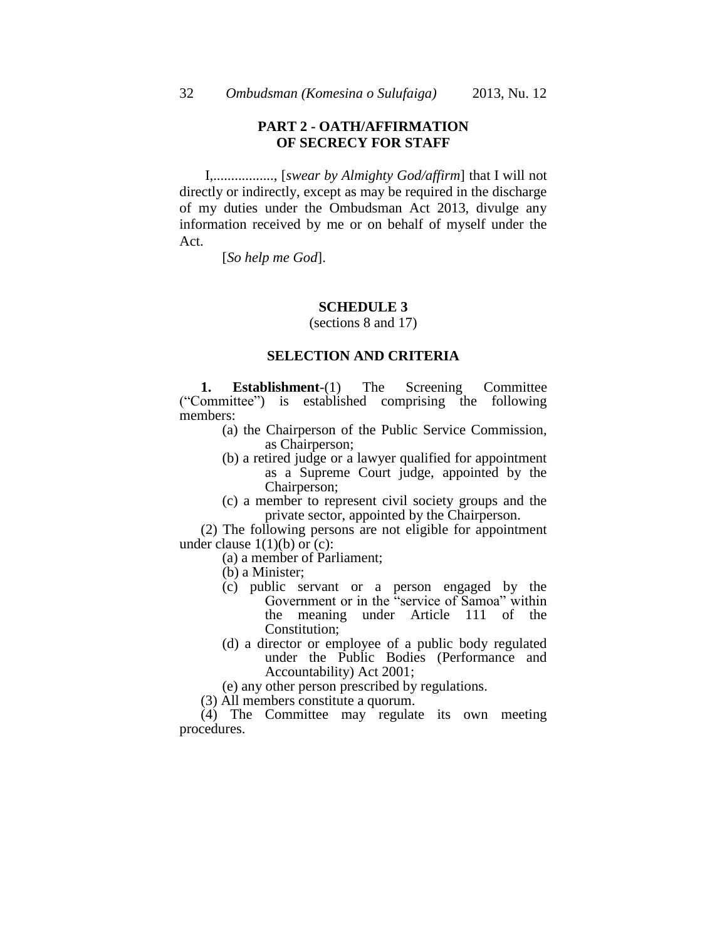## **PART 2 - OATH/AFFIRMATION OF SECRECY FOR STAFF**

I,................., [*swear by Almighty God/affirm*] that I will not directly or indirectly, except as may be required in the discharge of my duties under the Ombudsman Act 2013, divulge any information received by me or on behalf of myself under the Act.

[*So help me God*].

#### **SCHEDULE 3**

(sections 8 and 17)

#### **SELECTION AND CRITERIA**

**1. Establishment**-(1) The Screening Committee ("Committee") is established comprising the following members:

- (a) the Chairperson of the Public Service Commission, as Chairperson;
- (b) a retired judge or a lawyer qualified for appointment as a Supreme Court judge, appointed by the Chairperson;
- (c) a member to represent civil society groups and the private sector, appointed by the Chairperson.

(2) The following persons are not eligible for appointment under clause  $1(1)(b)$  or  $(c)$ :

- (a) a member of Parliament;
- (b) a Minister;
- (c) public servant or a person engaged by the Government or in the "service of Samoa" within the meaning under Article 111 of the Constitution;
- (d) a director or employee of a public body regulated under the Public Bodies (Performance and Accountability) Act 2001;
- (e) any other person prescribed by regulations.
- (3) All members constitute a quorum.

(4) The Committee may regulate its own meeting procedures.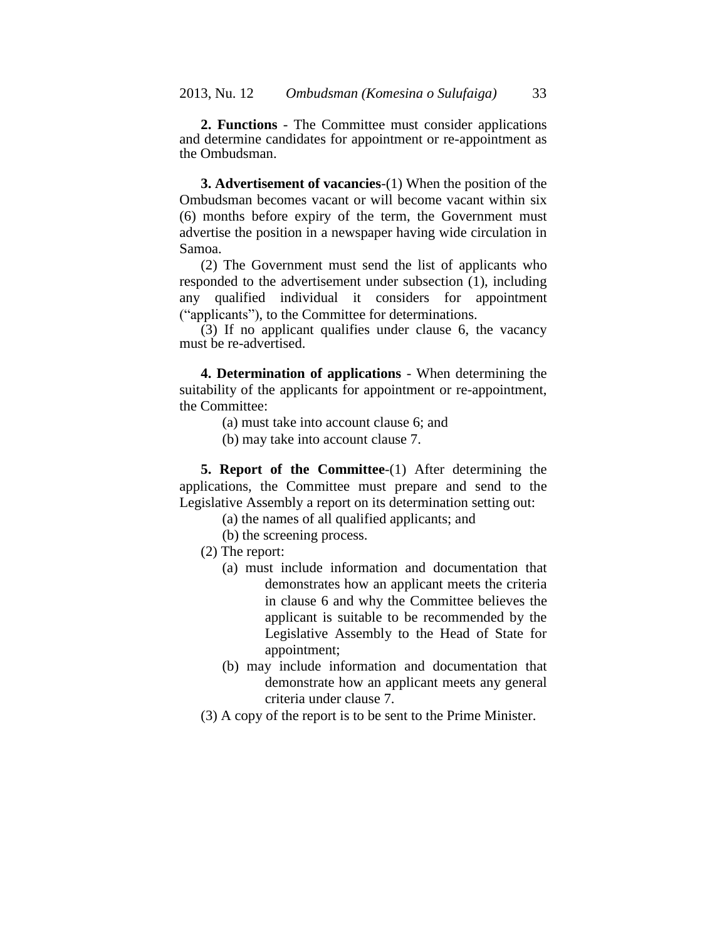**2. Functions** - The Committee must consider applications and determine candidates for appointment or re-appointment as the Ombudsman.

**3. Advertisement of vacancies**-(1) When the position of the Ombudsman becomes vacant or will become vacant within six (6) months before expiry of the term, the Government must advertise the position in a newspaper having wide circulation in Samoa.

(2) The Government must send the list of applicants who responded to the advertisement under subsection (1), including any qualified individual it considers for appointment ("applicants"), to the Committee for determinations.

(3) If no applicant qualifies under clause 6, the vacancy must be re-advertised.

**4. Determination of applications** - When determining the suitability of the applicants for appointment or re-appointment, the Committee:

- (a) must take into account clause 6; and
- (b) may take into account clause 7.

**5. Report of the Committee**-(1) After determining the applications, the Committee must prepare and send to the Legislative Assembly a report on its determination setting out:

- (a) the names of all qualified applicants; and
- (b) the screening process.
- (2) The report:
	- (a) must include information and documentation that demonstrates how an applicant meets the criteria in clause 6 and why the Committee believes the applicant is suitable to be recommended by the Legislative Assembly to the Head of State for appointment;
	- (b) may include information and documentation that demonstrate how an applicant meets any general criteria under clause 7.
- (3) A copy of the report is to be sent to the Prime Minister.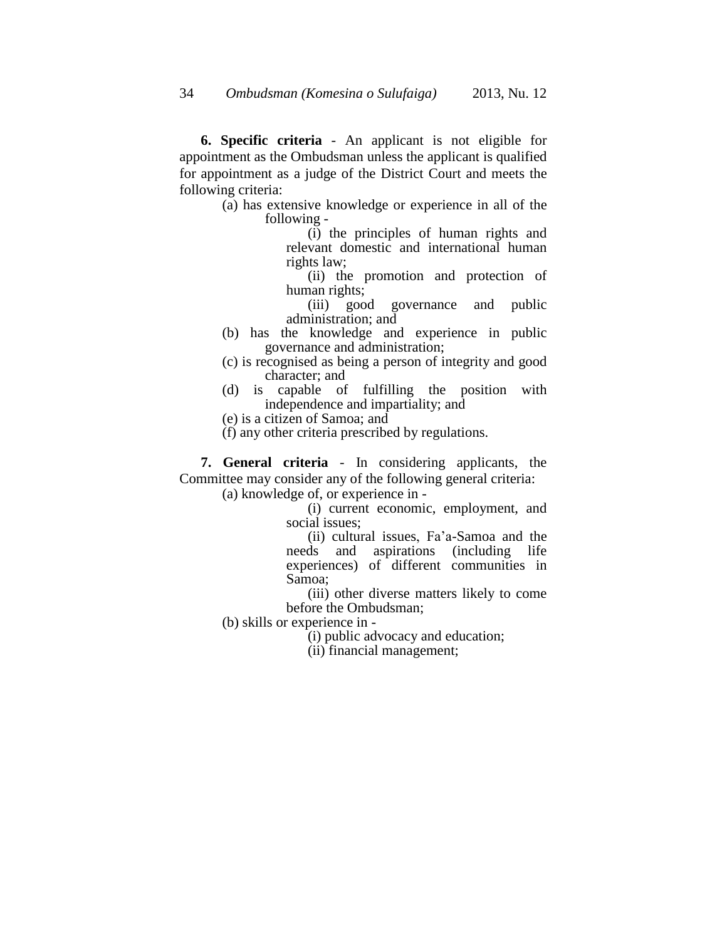**6. Specific criteria** - An applicant is not eligible for appointment as the Ombudsman unless the applicant is qualified for appointment as a judge of the District Court and meets the following criteria:

> (a) has extensive knowledge or experience in all of the following -

(i) the principles of human rights and relevant domestic and international human rights law;

(ii) the promotion and protection of human rights;

(iii) good governance and public administration; and

- (b) has the knowledge and experience in public governance and administration;
- (c) is recognised as being a person of integrity and good character; and
- (d) is capable of fulfilling the position with independence and impartiality; and
- (e) is a citizen of Samoa; and
- (f) any other criteria prescribed by regulations.

**7. General criteria** - In considering applicants, the Committee may consider any of the following general criteria:

(a) knowledge of, or experience in -

(i) current economic, employment, and social issues;

(ii) cultural issues, Fa'a-Samoa and the needs and aspirations (including life experiences) of different communities in Samoa;

(iii) other diverse matters likely to come before the Ombudsman;

(b) skills or experience in -

(i) public advocacy and education;

(ii) financial management;